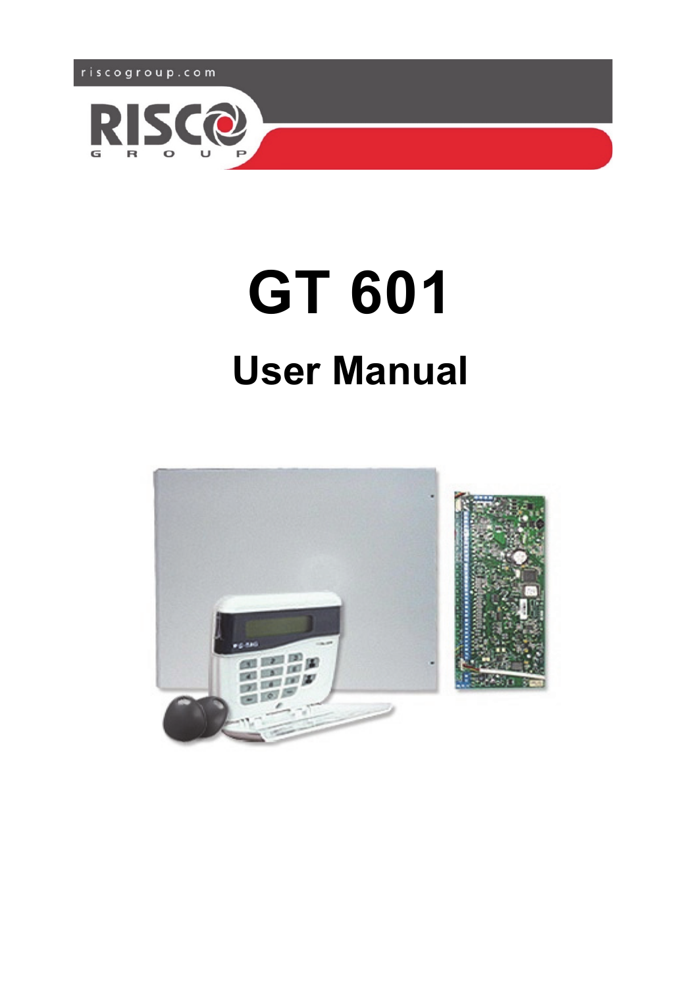



# **GT 601 User Manual**

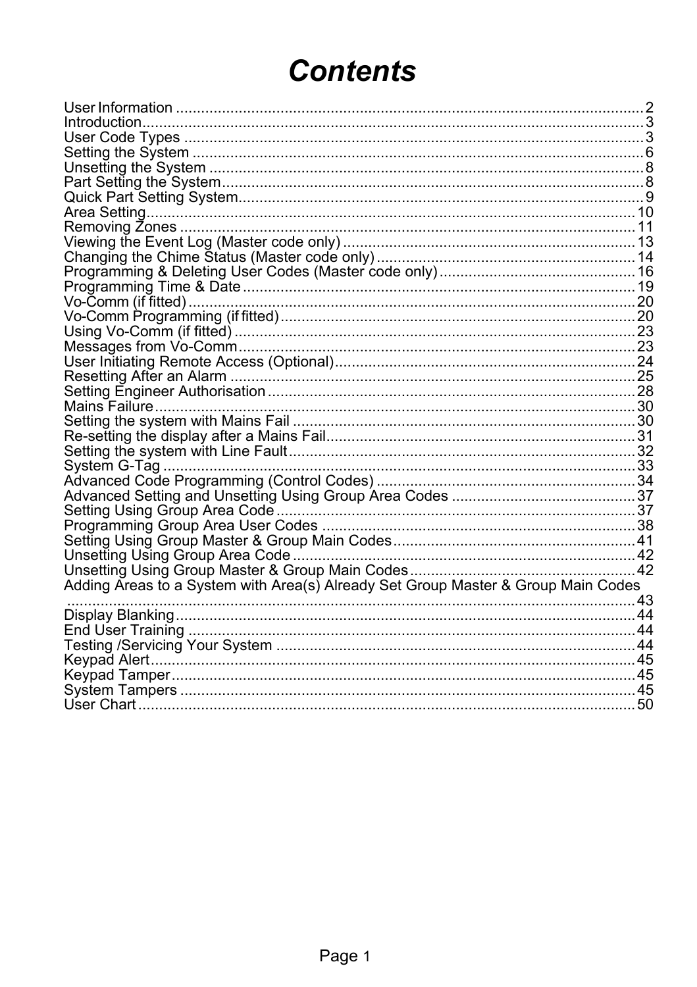# **Contents**

| Adding Areas to a System with Area(s) Already Set Group Master & Group Main Codes |  |
|-----------------------------------------------------------------------------------|--|
|                                                                                   |  |
|                                                                                   |  |
|                                                                                   |  |
|                                                                                   |  |
|                                                                                   |  |
|                                                                                   |  |
|                                                                                   |  |
|                                                                                   |  |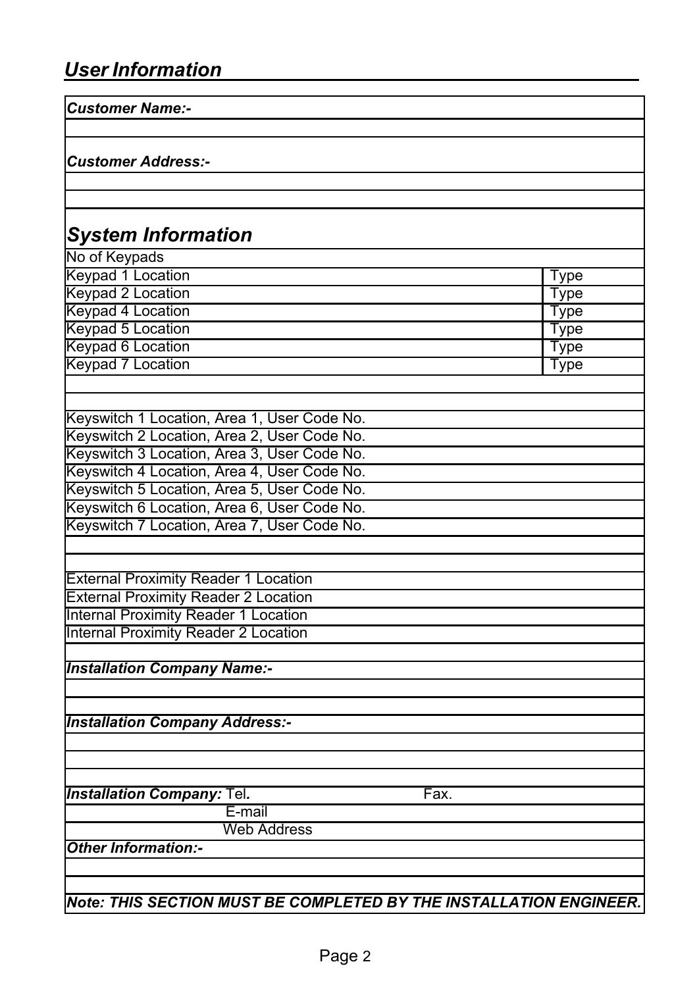| <b>Customer Name:-</b>                                             |             |
|--------------------------------------------------------------------|-------------|
| <b>Customer Address:-</b>                                          |             |
|                                                                    |             |
|                                                                    |             |
| <b>System Information</b>                                          |             |
| No of Keypads                                                      |             |
| Keypad 1 Location                                                  | <b>Type</b> |
| Keypad 2 Location                                                  | <b>Type</b> |
| Keypad 4 Location                                                  | Type        |
| Keypad 5 Location                                                  | <b>Type</b> |
| Keypad 6 Location                                                  | Type        |
| Keypad 7 Location                                                  | Type        |
|                                                                    |             |
| Keyswitch 1 Location, Area 1, User Code No.                        |             |
| Keyswitch 2 Location, Area 2, User Code No.                        |             |
| Keyswitch 3 Location, Area 3, User Code No.                        |             |
| Keyswitch 4 Location, Area 4, User Code No.                        |             |
| Keyswitch 5 Location, Area 5, User Code No.                        |             |
| Keyswitch 6 Location, Area 6, User Code No.                        |             |
| Keyswitch 7 Location, Area 7, User Code No.                        |             |
|                                                                    |             |
|                                                                    |             |
| <b>External Proximity Reader 1 Location</b>                        |             |
| <b>External Proximity Reader 2 Location</b>                        |             |
| <b>Internal Proximity Reader 1 Location</b>                        |             |
| <b>Internal Proximity Reader 2 Location</b>                        |             |
| <b>Installation Company Name:-</b>                                 |             |
|                                                                    |             |
| <b>Installation Company Address:-</b>                              |             |
|                                                                    |             |
| <b>Installation Company: Tel.</b><br>Fax.                          |             |
| E-mail                                                             |             |
| Web Address                                                        |             |
| <b>Other Information:-</b>                                         |             |
|                                                                    |             |
| Note: THIS SECTION MUST BE COMPLETED BY THE INSTALLATION ENGINEER. |             |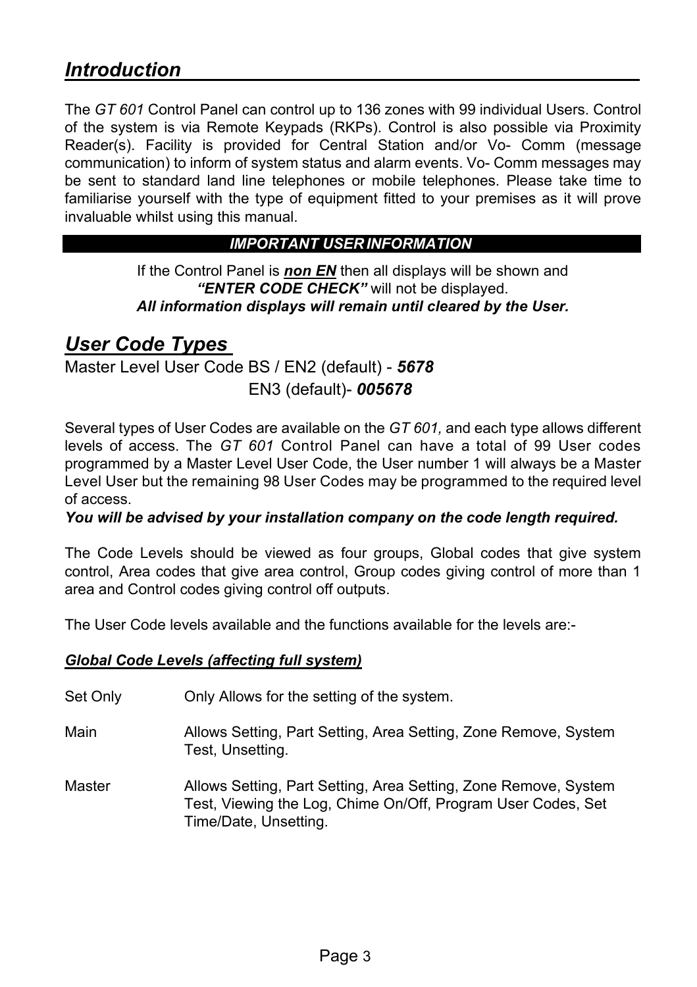## *Introduction*

The *GT 601* Control Panel can control up to 136 zones with 99 individual Users. Control of the system is via Remote Keypads (RKPs). Control is also possible via Proximity Reader(s). Facility is provided for Central Station and/or Vo- Comm (message communication) to inform of system status and alarm events. Vo- Comm messages may be sent to standard land line telephones or mobile telephones. Please take time to familiarise yourself with the type of equipment fitted to your premises as it will prove invaluable whilst using this manual.

#### *IMPORTANT USER INFORMATION*

If the Control Panel is *non EN* then all displays will be shown and *"ENTER CODE CHECK"* will not be displayed. *All information displays will remain until cleared by the User.* 

#### *User Code Types*

Master Level User Code BS / EN2 (default) - *5678*  EN3 (default)- *005678* 

Several types of User Codes are available on the *GT 601,* and each type allows different levels of access. The *GT 601* Control Panel can have a total of 99 User codes programmed by a Master Level User Code, the User number 1 will always be a Master Level User but the remaining 98 User Codes may be programmed to the required level of access.

#### *You will be advised by your installation company on the code length required.*

The Code Levels should be viewed as four groups, Global codes that give system control, Area codes that give area control, Group codes giving control of more than 1 area and Control codes giving control off outputs.

The User Code levels available and the functions available for the levels are:-

#### *Global Code Levels (affecting full system)*

- Set Only Only Allows for the setting of the system.
- Main Allows Setting, Part Setting, Area Setting, Zone Remove, System Test, Unsetting.
- Master Allows Setting, Part Setting, Area Setting, Zone Remove, System Test, Viewing the Log, Chime On/Off, Program User Codes, Set Time/Date, Unsetting.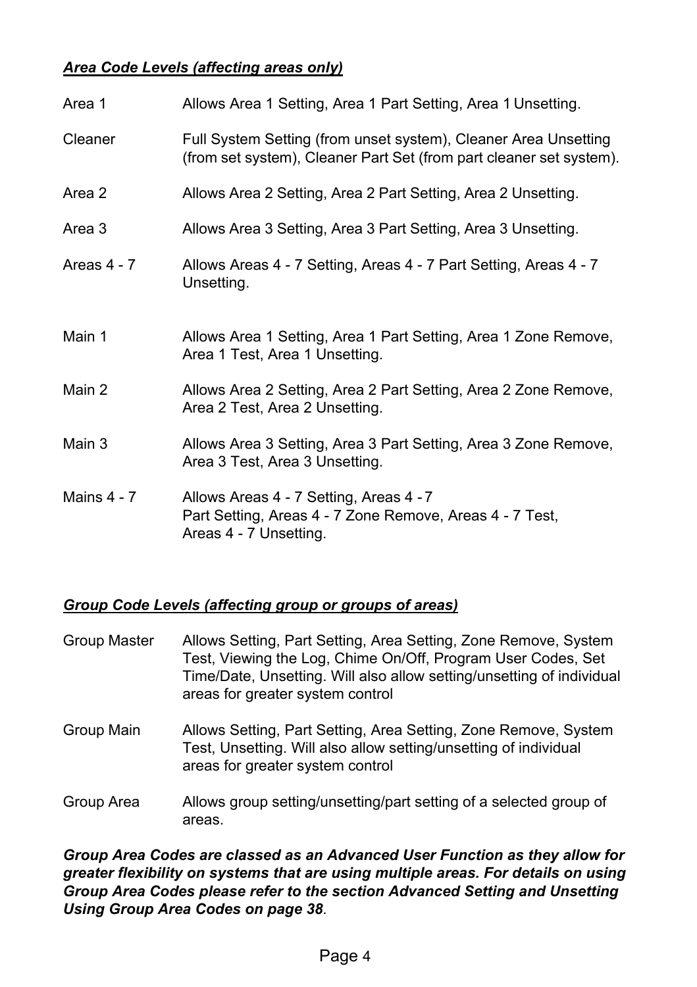#### *Area Code Levels (affecting areas only)*

| Area 1        | Allows Area 1 Setting, Area 1 Part Setting, Area 1 Unsetting.                                                                          |
|---------------|----------------------------------------------------------------------------------------------------------------------------------------|
| Cleaner       | Full System Setting (from unset system), Cleaner Area Unsetting<br>(from set system), Cleaner Part Set (from part cleaner set system). |
| Area 2        | Allows Area 2 Setting, Area 2 Part Setting, Area 2 Unsetting.                                                                          |
| Area 3        | Allows Area 3 Setting, Area 3 Part Setting, Area 3 Unsetting.                                                                          |
| Areas 4 - 7   | Allows Areas 4 - 7 Setting, Areas 4 - 7 Part Setting, Areas 4 - 7<br>Unsetting.                                                        |
| Main 1        | Allows Area 1 Setting, Area 1 Part Setting, Area 1 Zone Remove,<br>Area 1 Test, Area 1 Unsetting.                                      |
| Main 2        | Allows Area 2 Setting, Area 2 Part Setting, Area 2 Zone Remove,<br>Area 2 Test, Area 2 Unsetting.                                      |
| Main 3        | Allows Area 3 Setting, Area 3 Part Setting, Area 3 Zone Remove,<br>Area 3 Test, Area 3 Unsetting.                                      |
| Mains $4 - 7$ | Allows Areas 4 - 7 Setting, Areas 4 - 7<br>Part Setting, Areas 4 - 7 Zone Remove, Areas 4 - 7 Test,<br>Areas 4 - 7 Unsetting.          |

#### *Group Code Levels (affecting group or groups of areas)*

| Group Master | Allows Setting, Part Setting, Area Setting, Zone Remove, System<br>Test, Viewing the Log, Chime On/Off, Program User Codes, Set<br>Time/Date, Unsetting. Will also allow setting/unsetting of individual<br>areas for greater system control |
|--------------|----------------------------------------------------------------------------------------------------------------------------------------------------------------------------------------------------------------------------------------------|
| Group Main   | Allows Setting, Part Setting, Area Setting, Zone Remove, System<br>Test, Unsetting. Will also allow setting/unsetting of individual<br>areas for greater system control                                                                      |

Group Area Allows group setting/unsetting/part setting of a selected group of areas.

*Group Area Codes are classed as an Advanced User Function as they allow for greater flexibility on systems that are using multiple areas. For details on using Group Area Codes please refer to the section Advanced Setting and Unsetting Using Group Area Codes on page 38*.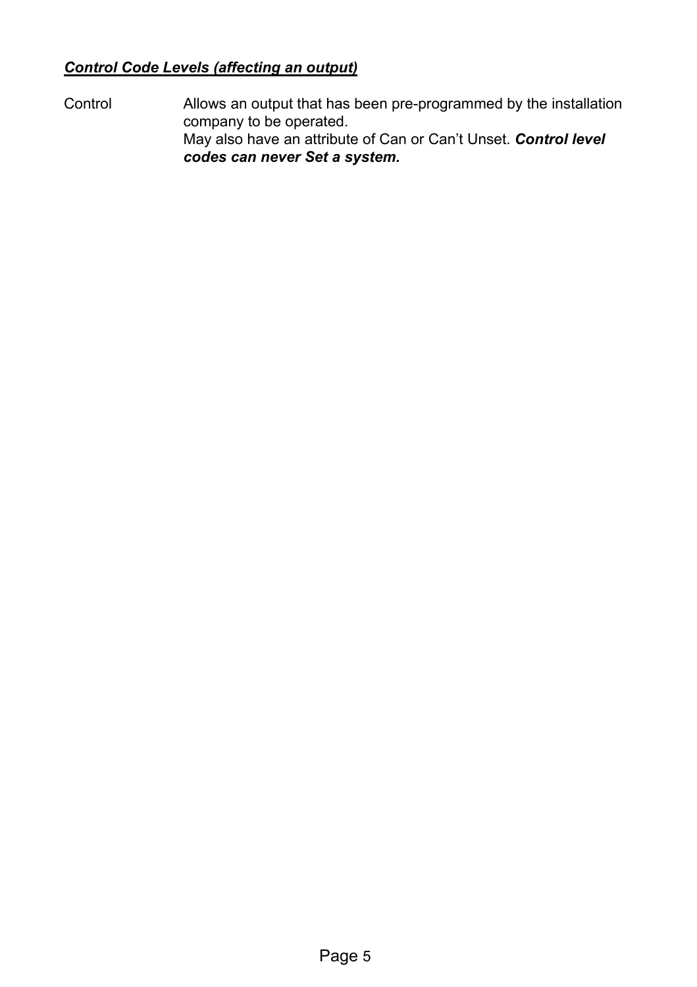#### *Control Code Levels (affecting an output)*

Control Allows an output that has been pre-programmed by the installation company to be operated. May also have an attribute of Can or Can't Unset. *Control level codes can never Set a system.*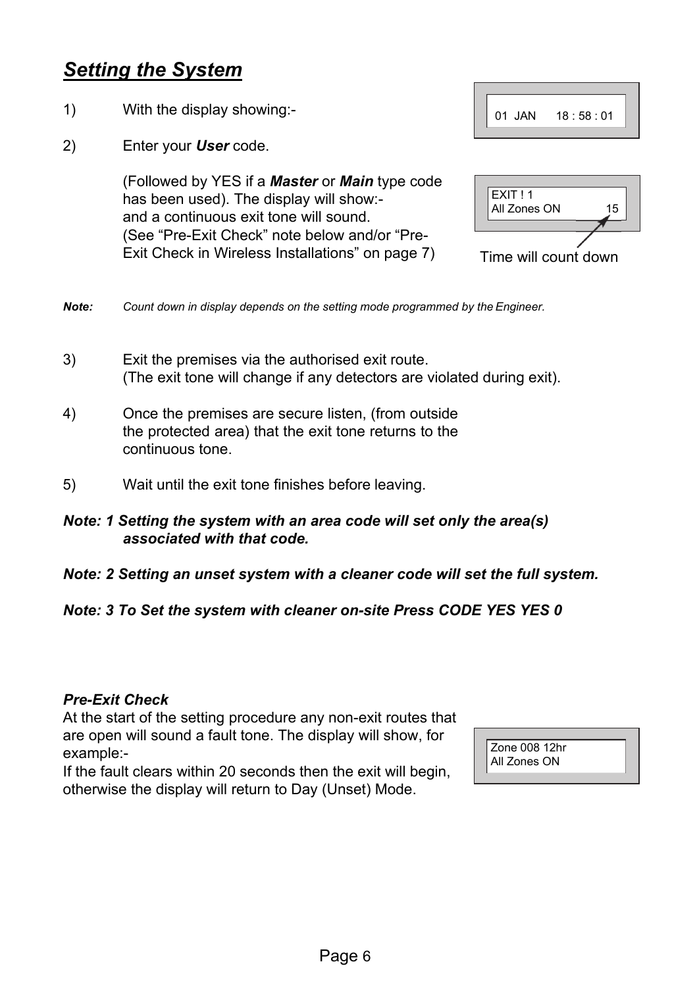## *Setting the System*

- 1) With the display showing:-
- 2) Enter your *User* code.

(Followed by YES if a *Master* or *Main* type code has been used). The display will show: and a continuous exit tone will sound. (See "Pre-Exit Check" note below and/or "Pre-Exit Check in Wireless Installations" on page 7)  $\overline{T}$  Time will count down



| EXIT!1<br>All Zones ON | 15 |
|------------------------|----|
|                        |    |

- *Note: Count down in display depends on the setting mode programmed by the Engineer.*
- 3) Exit the premises via the authorised exit route. (The exit tone will change if any detectors are violated during exit).
- 4) Once the premises are secure listen, (from outside the protected area) that the exit tone returns to the continuous tone.
- 5) Wait until the exit tone finishes before leaving.

#### *Note: 1 Setting the system with an area code will set only the area(s) associated with that code.*

*Note: 2 Setting an unset system with a cleaner code will set the full system.* 

#### *Note: 3 To Set the system with cleaner on-site Press CODE YES YES 0*

#### *Pre-Exit Check*

At the start of the setting procedure any non-exit routes that are open will sound a fault tone. The display will show, for example:-

If the fault clears within 20 seconds then the exit will begin, otherwise the display will return to Day (Unset) Mode.

| Zone 008 12hr |  |
|---------------|--|
| All Zones ON  |  |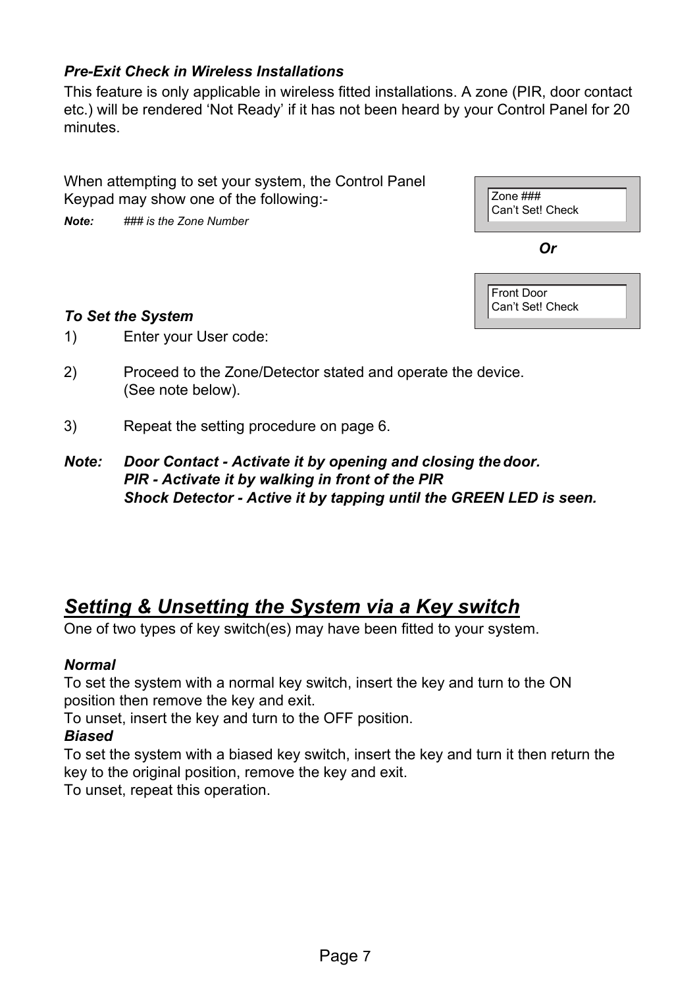#### *Pre-Exit Check in Wireless Installations*

This feature is only applicable in wireless fitted installations. A zone (PIR, door contact etc.) will be rendered 'Not Ready' if it has not been heard by your Control Panel for 20 minutes.

When attempting to set your system, the Control Panel Keypad may show one of the following:-

*Note: ### is the Zone Number* 

| Zone ###<br>Can't Set! Check |
|------------------------------|
| Or                           |



#### *To Set the System*

- 1) Enter your User code:
- 2) Proceed to the Zone/Detector stated and operate the device. (See note below).
- 3) Repeat the setting procedure on page 6.
- *Note: Door Contact Activate it by opening and closing the door. PIR - Activate it by walking in front of the PIR Shock Detector - Active it by tapping until the GREEN LED is seen.*

## *Setting & Unsetting the System via a Key switch*

One of two types of key switch(es) may have been fitted to your system.

#### *Normal*

To set the system with a normal key switch, insert the key and turn to the ON position then remove the key and exit.

To unset, insert the key and turn to the OFF position.

#### *Biased*

To set the system with a biased key switch, insert the key and turn it then return the key to the original position, remove the key and exit.

To unset, repeat this operation.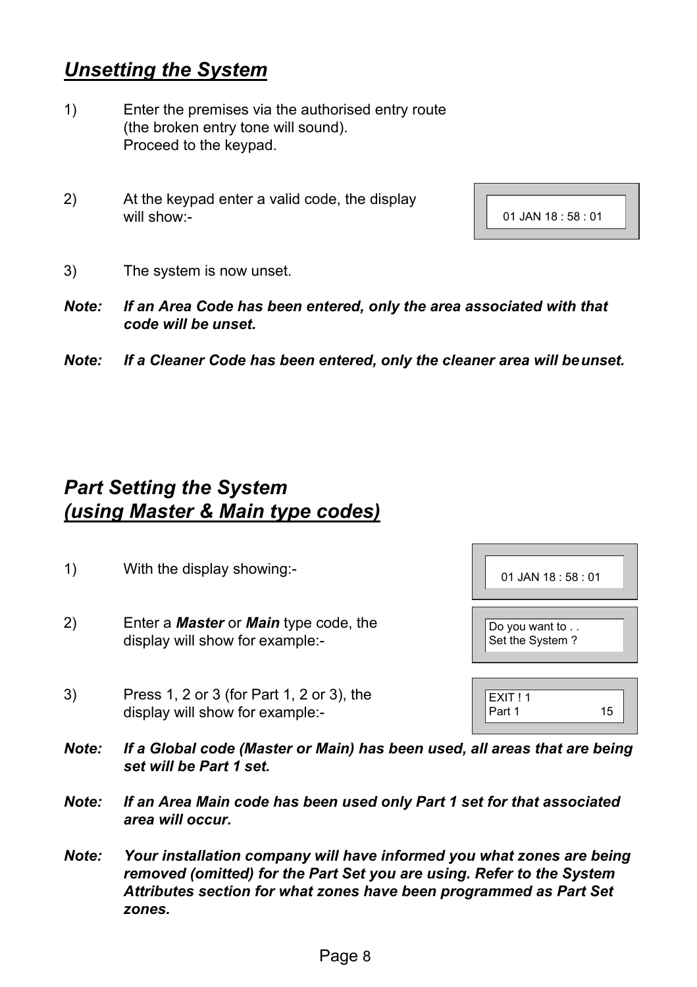## *Unsetting the System*

- 1) Enter the premises via the authorised entry route (the broken entry tone will sound). Proceed to the keypad.
- 2) At the keypad enter a valid code, the display will show:-

| 01 JAN 18:58:01 |
|-----------------|

- 3) The system is now unset.
- *Note: If an Area Code has been entered, only the area associated with that code will be unset.*
- *Note: If a Cleaner Code has been entered, only the cleaner area will be unset.*

## *Part Setting the System (using Master & Main type codes)*

- 1) With the display showing:-
- 2) Enter a *Master* or *Main* type code, the display will show for example:-
- 3) Press 1, 2 or 3 (for Part 1, 2 or 3), the display will show for example:-

| 01 JAN 18:58:01                                              |
|--------------------------------------------------------------|
| Do you want to . $\overline{\phantom{a}}$<br>Set the System? |
| EXIT!1                                                       |

Part 1

15

- *Note: If a Global code (Master or Main) has been used, all areas that are being set will be Part 1 set.*
- *Note: If an Area Main code has been used only Part 1 set for that associated area will occur.*
- *Note: Your installation company will have informed you what zones are being removed (omitted) for the Part Set you are using. Refer to the System Attributes section for what zones have been programmed as Part Set zones.*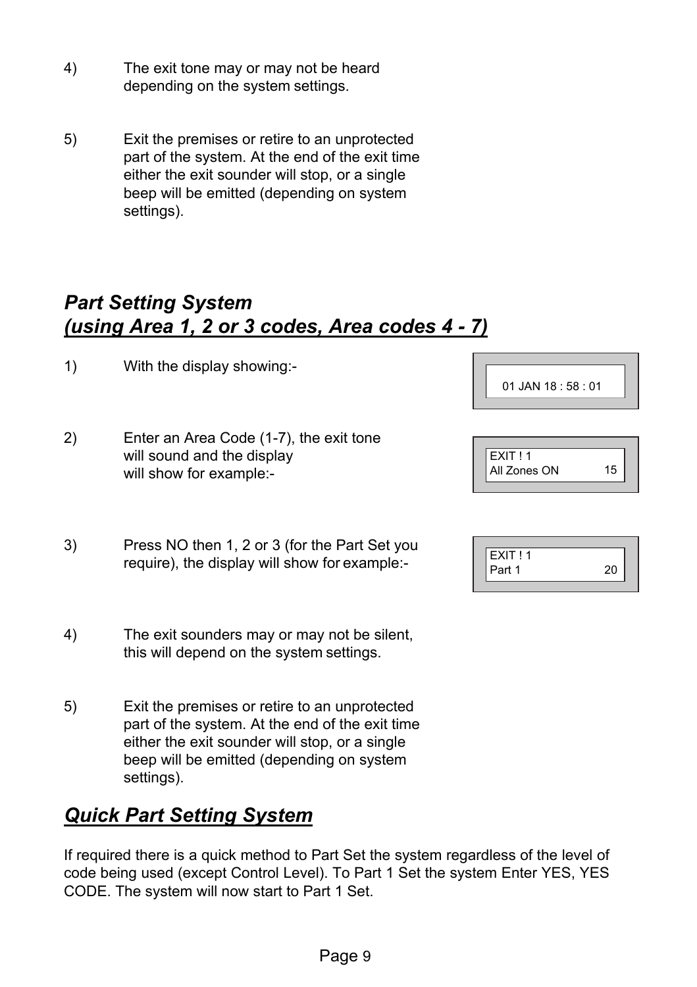- 4) The exit tone may or may not be heard depending on the system settings.
- 5) Exit the premises or retire to an unprotected part of the system. At the end of the exit time either the exit sounder will stop, or a single beep will be emitted (depending on system settings).

## *Part Setting System (using Area 1, 2 or 3 codes, Area codes 4 - 7)*

- 1) With the display showing:-
- 2) Enter an Area Code (1-7), the exit tone will sound and the display will show for example:-
- 3) Press NO then 1, 2 or 3 (for the Part Set you require), the display will show for example:-
- 4) The exit sounders may or may not be silent, this will depend on the system settings.
- 5) Exit the premises or retire to an unprotected part of the system. At the end of the exit time either the exit sounder will stop, or a single beep will be emitted (depending on system settings).

## *Quick Part Setting System*

If required there is a quick method to Part Set the system regardless of the level of code being used (except Control Level). To Part 1 Set the system Enter YES, YES CODE. The system will now start to Part 1 Set.

| 01 JAN 18:58:01 |  |  |
|-----------------|--|--|
|                 |  |  |

| EXIT I 1     |  |
|--------------|--|
| All Zones ON |  |
|              |  |

| FXIT!1 |  |
|--------|--|
| Part 1 |  |
|        |  |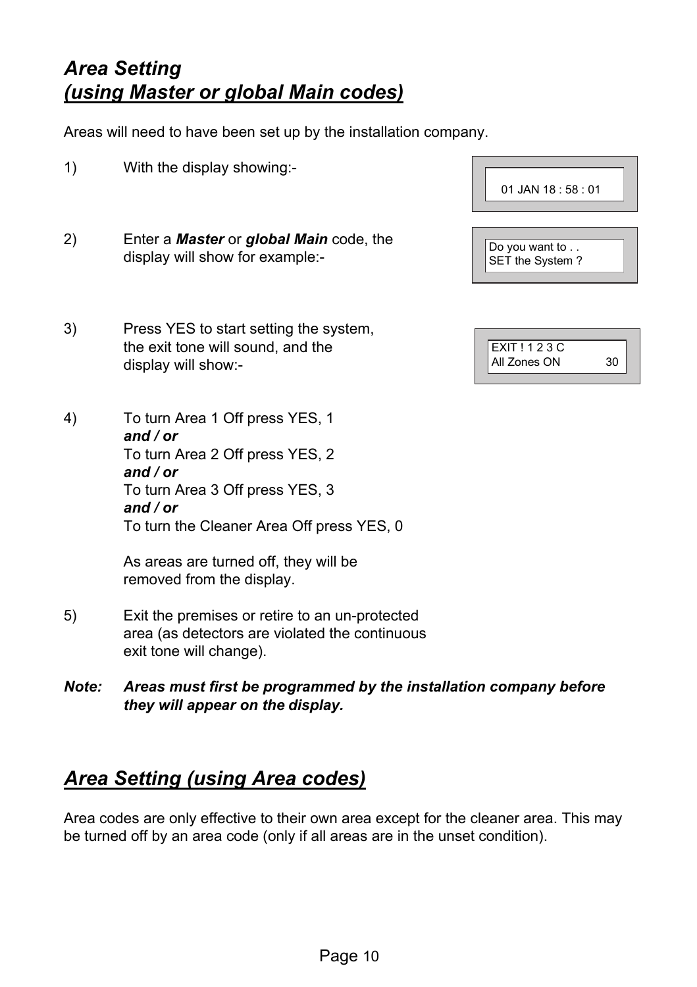## *Area Setting (using Master or global Main codes)*

Areas will need to have been set up by the installation company.

- 1) With the display showing:-
- 2) Enter a *Master* or *global Main* code, the display will show for example:-
- 3) Press YES to start setting the system, the exit tone will sound, and the display will show:-

4) To turn Area 1 Off press YES, 1 *and / or*  To turn Area 2 Off press YES, 2 *and / or*  To turn Area 3 Off press YES, 3 *and / or*  To turn the Cleaner Area Off press YES, 0

> As areas are turned off, they will be removed from the display.

- 5) Exit the premises or retire to an un-protected area (as detectors are violated the continuous exit tone will change).
- *Note: Areas must first be programmed by the installation company before they will appear on the display.*

## *Area Setting (using Area codes)*

Area codes are only effective to their own area except for the cleaner area. This may be turned off by an area code (only if all areas are in the unset condition).

| $01$ JAN 18 : 58 : 01             |
|-----------------------------------|
| Do you want to<br>SET the System? |

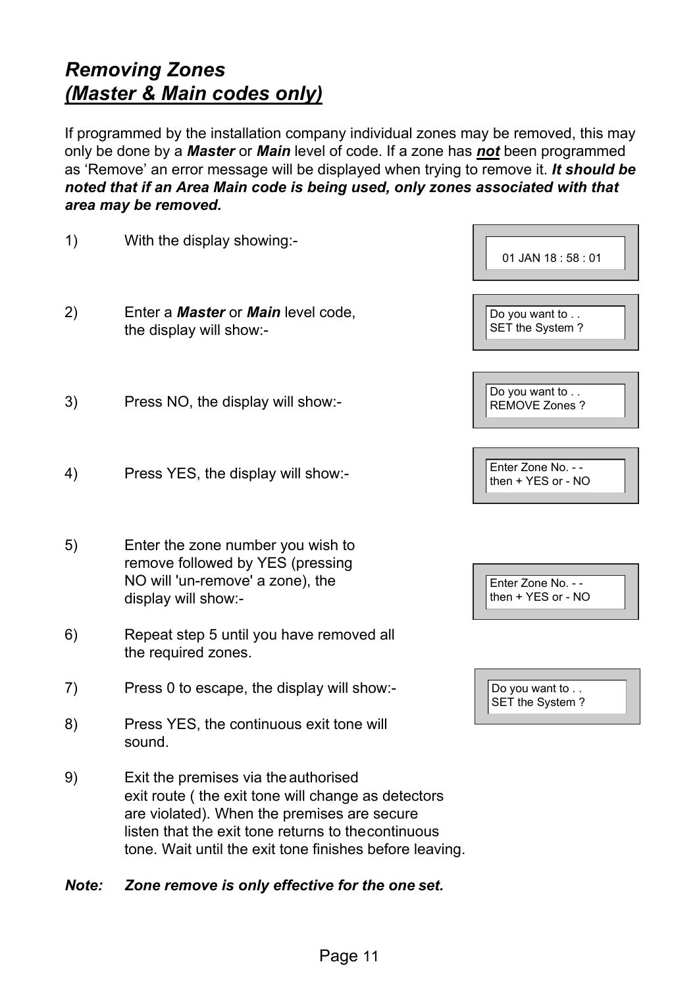## *Removing Zones (Master & Main codes only)*

If programmed by the installation company individual zones may be removed, this may only be done by a *Master* or *Main* level of code. If a zone has *not* been programmed as 'Remove' an error message will be displayed when trying to remove it. *It should be noted that if an Area Main code is being used, only zones associated with that area may be removed.* 

| 1) | With the display showing:-                                                                                                                                                                                                                                 | 01 JAN 18:58:01                          |
|----|------------------------------------------------------------------------------------------------------------------------------------------------------------------------------------------------------------------------------------------------------------|------------------------------------------|
| 2) | Enter a <b>Master</b> or <b>Main</b> level code,<br>the display will show:-                                                                                                                                                                                | Do you want to<br>SET the System?        |
| 3) | Press NO, the display will show:-                                                                                                                                                                                                                          | Do you want to<br><b>REMOVE Zones?</b>   |
| 4) | Press YES, the display will show:-                                                                                                                                                                                                                         | Enter Zone No. - -<br>then + YES or - NO |
| 5) | Enter the zone number you wish to<br>remove followed by YES (pressing<br>NO will 'un-remove' a zone), the<br>display will show:-                                                                                                                           | Enter Zone No. - -<br>then + YES or - NO |
| 6) | Repeat step 5 until you have removed all<br>the required zones.                                                                                                                                                                                            |                                          |
| 7) | Press 0 to escape, the display will show:-                                                                                                                                                                                                                 | Do you want to<br>SET the System?        |
| 8) | Press YES, the continuous exit tone will<br>sound.                                                                                                                                                                                                         |                                          |
| 9) | Exit the premises via the authorised<br>exit route (the exit tone will change as detectors<br>are violated). When the premises are secure<br>listen that the exit tone returns to thecontinuous<br>tone. Wait until the exit tone finishes before leaving. |                                          |

#### *Note: Zone remove is only effective for the one set.*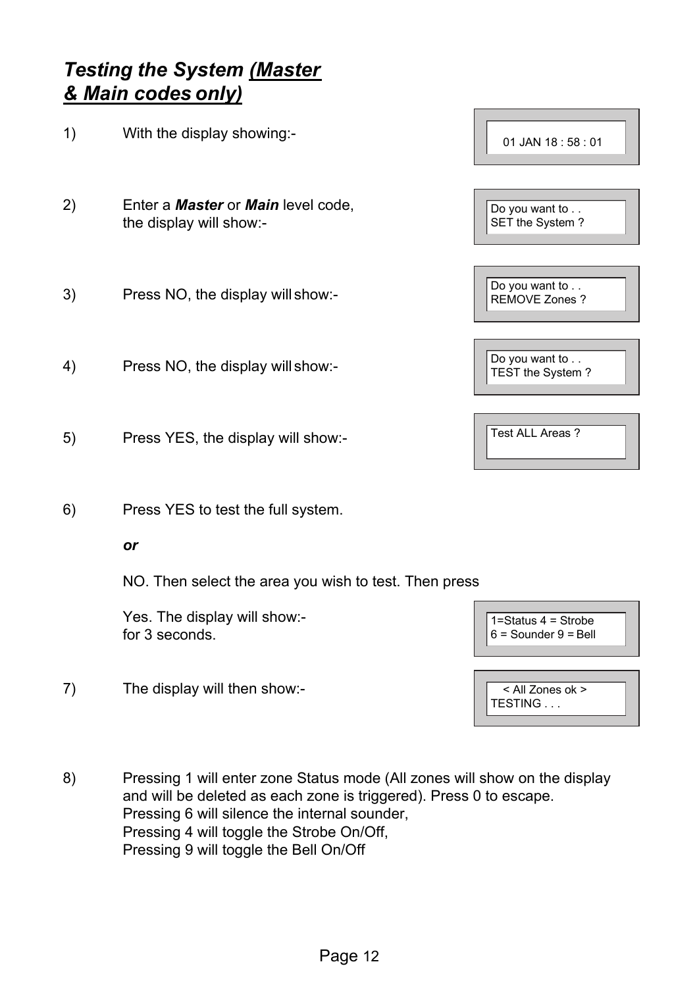## *Testing the System (Master & Main codes only)*

| 1) | With the display showing:-                                                  | 01 JAN 18:58:01                                       |
|----|-----------------------------------------------------------------------------|-------------------------------------------------------|
| 2) | Enter a <b>Master</b> or <b>Main</b> level code,<br>the display will show:- | Do you want to<br>SET the System?                     |
| 3) | Press NO, the display will show:-                                           | Do you want to<br><b>REMOVE Zones?</b>                |
| 4) | Press NO, the display will show:-                                           | Do you want to<br>TEST the System?                    |
| 5) | Press YES, the display will show:-                                          | Test ALL Areas ?                                      |
| 6) | Press YES to test the full system.                                          |                                                       |
|    | or                                                                          |                                                       |
|    | NO. Then select the area you wish to test. Then press                       |                                                       |
|    | Yes. The display will show:-<br>for 3 seconds.                              | $1 =$ Status $4 =$ Strobe<br>$6 =$ Sounder $9 =$ Bell |
| 7) | The display will then show:-                                                | < All Zones ok >                                      |

8) Pressing 1 will enter zone Status mode (All zones will show on the display and will be deleted as each zone is triggered). Press 0 to escape. Pressing 6 will silence the internal sounder, Pressing 4 will toggle the Strobe On/Off, Pressing 9 will toggle the Bell On/Off

TESTING . . .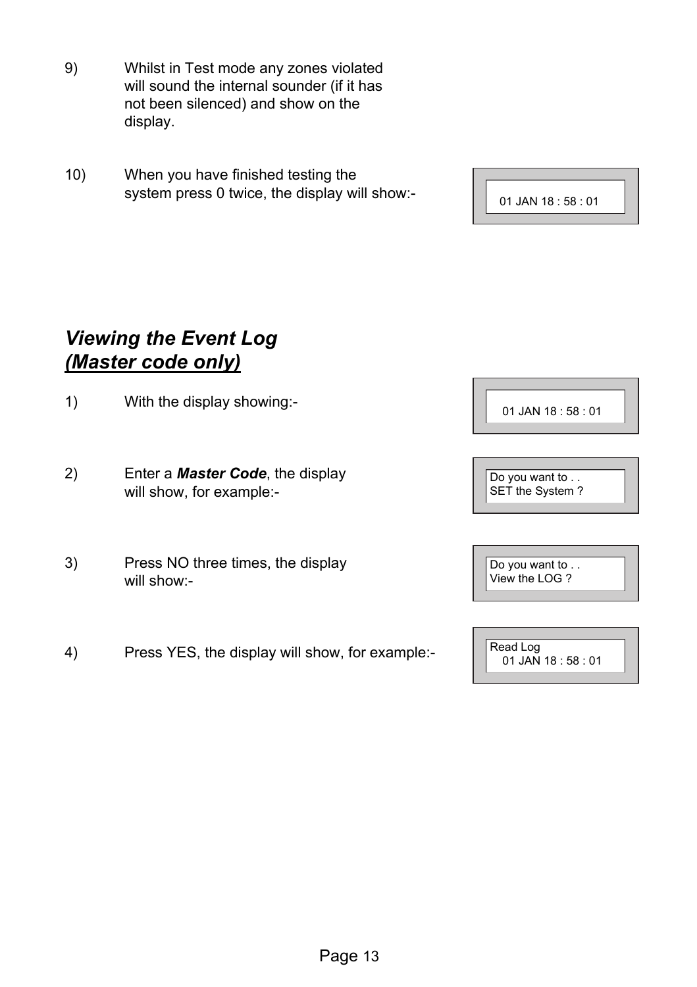- 9) Whilst in Test mode any zones violated will sound the internal sounder (if it has not been silenced) and show on the display.
- 10) When you have finished testing the system press 0 twice, the display will show:-

01 JAN 18 : 58 : 01

## *Viewing the Event Log (Master code only)*

- 1) With the display showing:-
- 2) Enter a *Master Code*, the display will show, for example:-
- 3) Press NO three times, the display will show:-
- 4) Press YES, the display will show, for example:-

01 JAN 18 : 58 : 01

Do you want to . . SET the System ?

Do you want to . . View the LOG ?

Read Log 01 JAN 18 : 58 : 01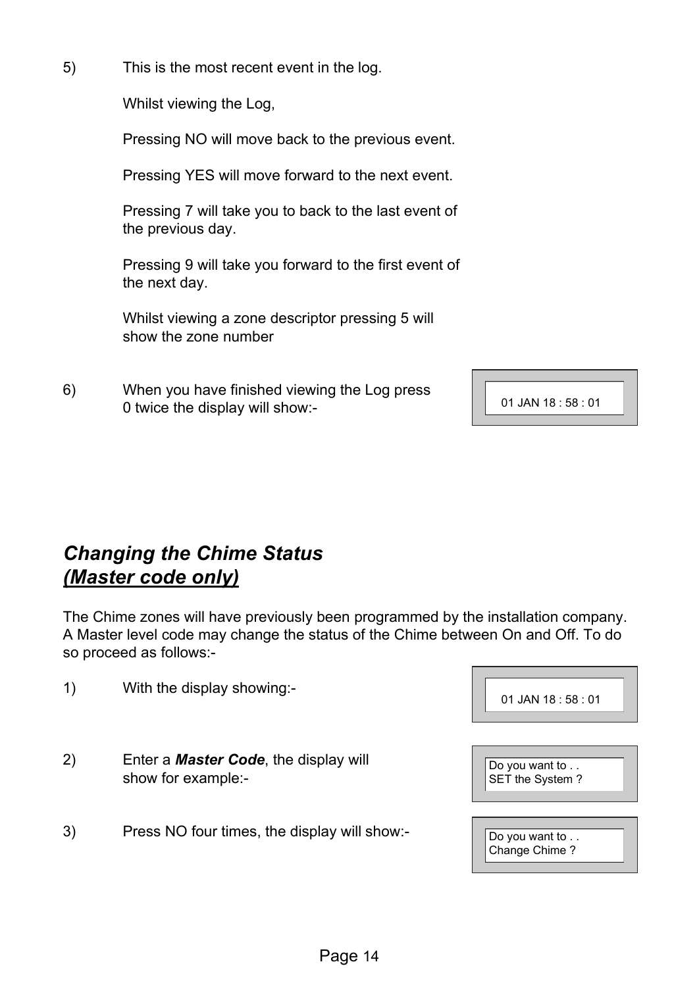5) This is the most recent event in the log.

Whilst viewing the Log,

Pressing NO will move back to the previous event.

Pressing YES will move forward to the next event.

Pressing 7 will take you to back to the last event of the previous day.

Pressing 9 will take you forward to the first event of the next day.

Whilst viewing a zone descriptor pressing 5 will show the zone number

6) When you have finished viewing the Log press 0 twice the display will show:-

01 JAN 18 : 58 : 01

## *Changing the Chime Status (Master code only)*

The Chime zones will have previously been programmed by the installation company. A Master level code may change the status of the Chime between On and Off. To do so proceed as follows:-

| 01 JAN 18:58:01                   |  |
|-----------------------------------|--|
|                                   |  |
| Do you want to<br>SET the System? |  |
| Do you want to                    |  |

Change Chime ?

1) With the display showing:-

- 2) Enter a *Master Code*, the display will show for example:-
- 3) Press NO four times, the display will show:-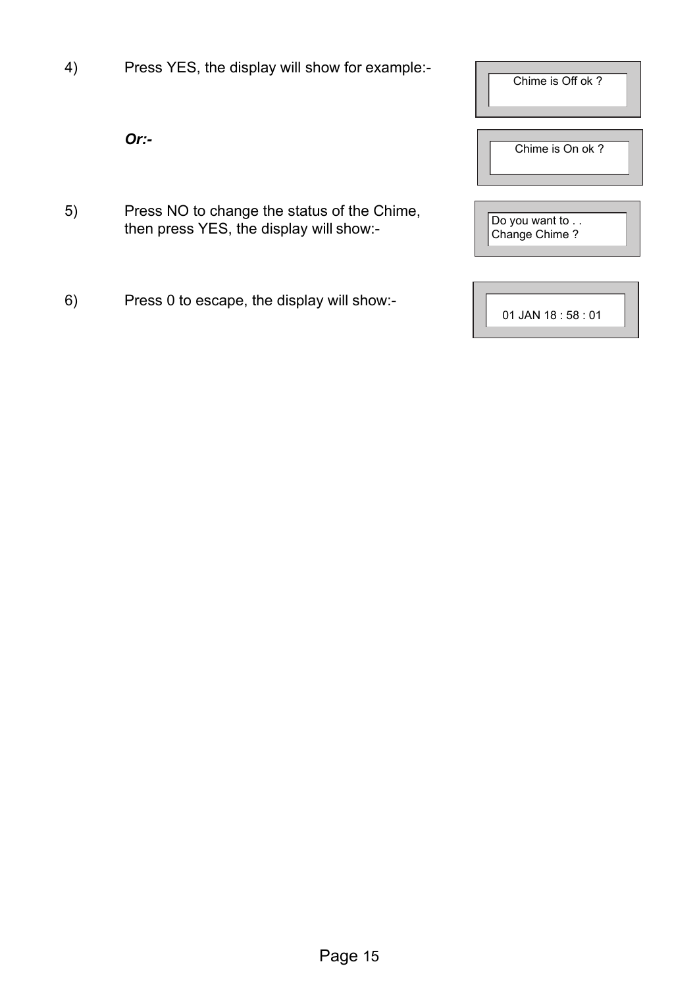4) Press YES, the display will show for example:-

*Or:-* 

- 5) Press NO to change the status of the Chime, then press YES, the display will show:-
- 6) Press 0 to escape, the display will show:-

| Chime is Off ok?                |
|---------------------------------|
| Chime is On ok?                 |
| Do you want to<br>Change Chime? |
| $01$ JAN 18 : 58 : 01           |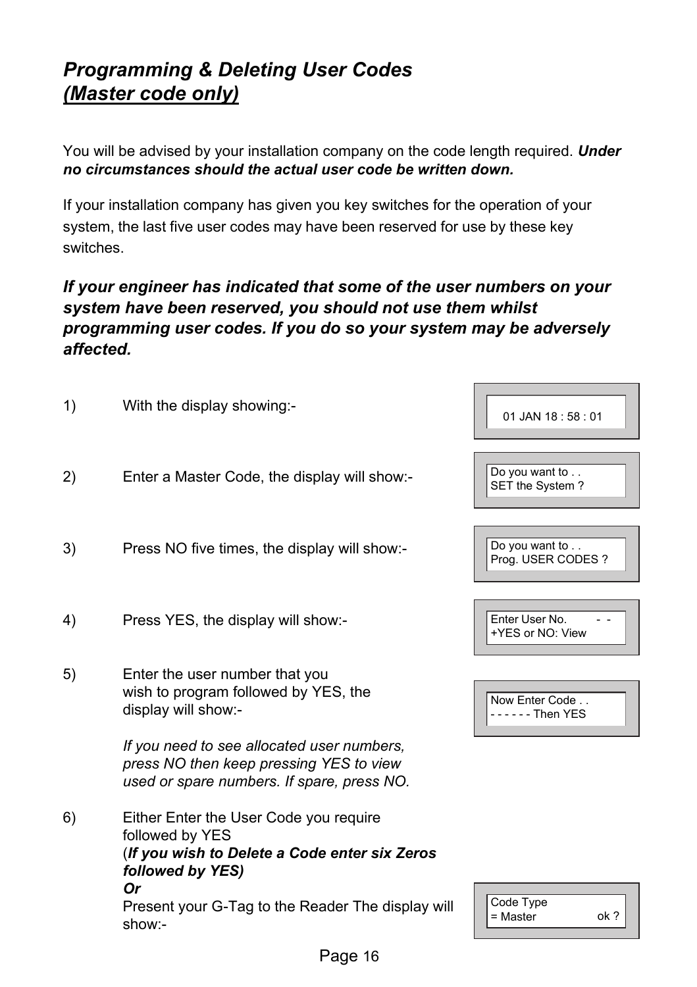## *Programming & Deleting User Codes (Master code only)*

You will be advised by your installation company on the code length required. *Under no circumstances should the actual user code be written down.* 

If your installation company has given you key switches for the operation of your system, the last five user codes may have been reserved for use by these key switches.

#### *If your engineer has indicated that some of the user numbers on your system have been reserved, you should not use them whilst programming user codes. If you do so your system may be adversely affected.*

| 1) | With the display showing:-                                                                                                                  | 01 JAN 18:58:01                      |
|----|---------------------------------------------------------------------------------------------------------------------------------------------|--------------------------------------|
| 2) | Enter a Master Code, the display will show:-                                                                                                | Do you want to<br>SET the System?    |
| 3) | Press NO five times, the display will show:-                                                                                                | Do you want to<br>Prog. USER CODES ? |
| 4) | Press YES, the display will show:-                                                                                                          | Enter User No.<br>+YES or NO: View   |
| 5) | Enter the user number that you<br>wish to program followed by YES, the<br>display will show:-                                               | Now Enter Code<br>$---$ Then YES     |
|    | If you need to see allocated user numbers.<br>press NO then keep pressing YES to view<br>used or spare numbers. If spare, press NO.         |                                      |
| 6) | Either Enter the User Code you require<br>followed by YES<br>(If you wish to Delete a Code enter six Zeros<br>followed by YES)<br><b>Or</b> |                                      |
|    | Present your G-Tag to the Reader The display will<br>show:-                                                                                 | Code Type<br>$=$ Master<br>ok?       |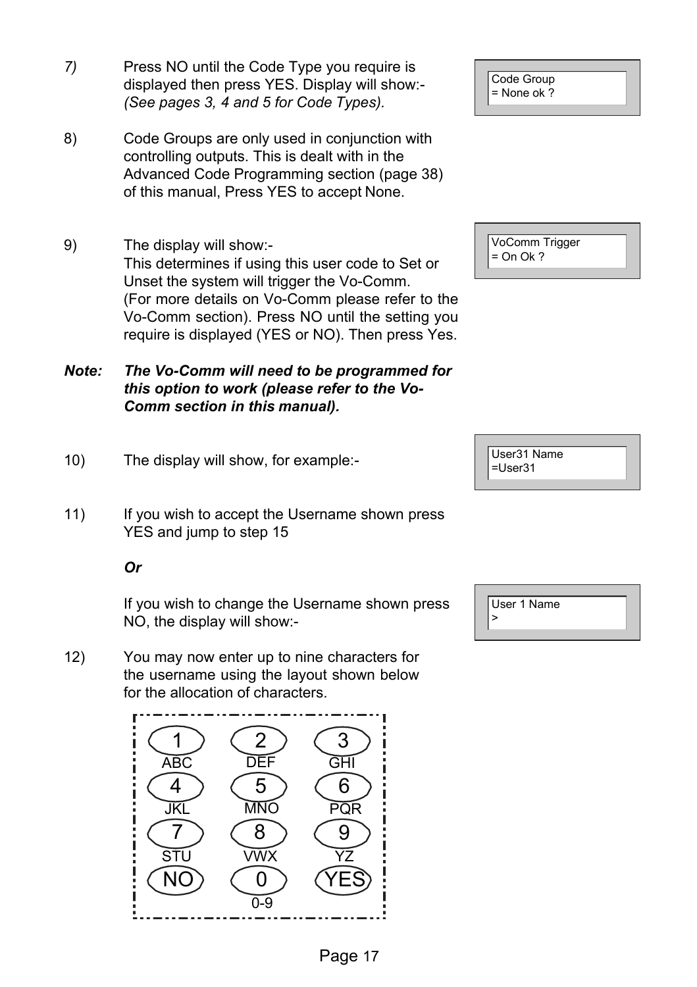- *7)* Press NO until the Code Type you require is displayed then press YES. Display will show:- *(See pages 3, 4 and 5 for Code Types).*
- 8) Code Groups are only used in conjunction with controlling outputs. This is dealt with in the Advanced Code Programming section (page 38) of this manual, Press YES to accept None.
- 9) The display will show:- This determines if using this user code to Set or Unset the system will trigger the Vo-Comm. (For more details on Vo-Comm please refer to the Vo-Comm section). Press NO until the setting you require is displayed (YES or NO). Then press Yes.
- *Note: The Vo-Comm will need to be programmed for this option to work (please refer to the Vo-Comm section in this manual).*
- 10) The display will show, for example:-
- 11) If you wish to accept the Username shown press YES and jump to step 15

#### *Or*

If you wish to change the Username shown press NO, the display will show:-

12) You may now enter up to nine characters for the username using the layout shown below for the allocation of characters.



Code Group = None ok ?

VoComm Trigger  $=$  On Ok ?



|  | User 1 Name |  |  |
|--|-------------|--|--|
|  |             |  |  |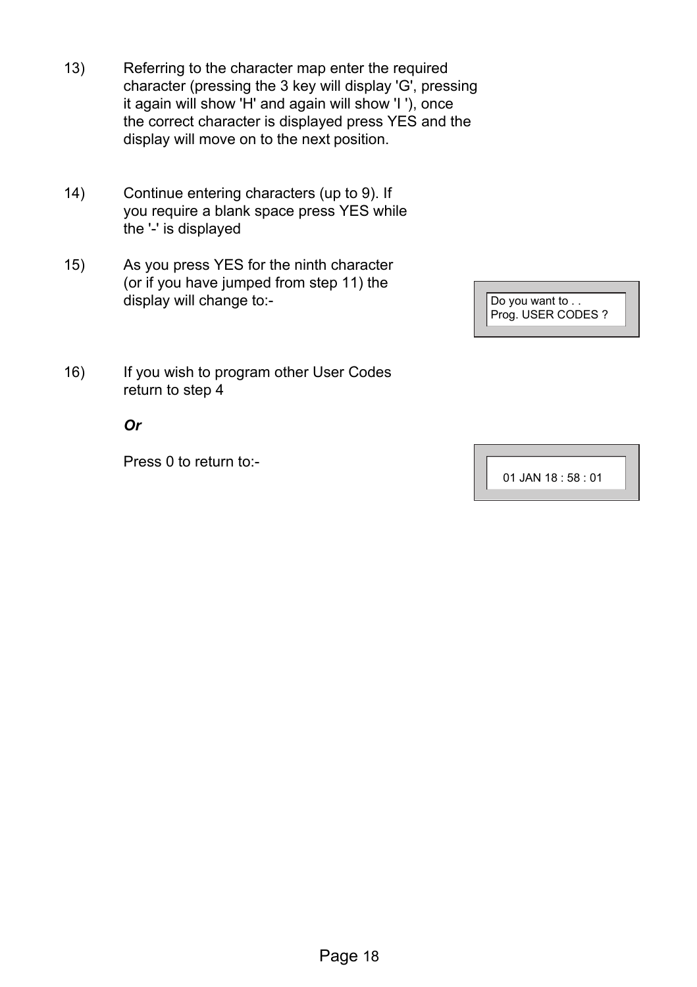- 13) Referring to the character map enter the required character (pressing the 3 key will display 'G', pressing it again will show 'H' and again will show 'I '), once the correct character is displayed press YES and the display will move on to the next position.
- 14) Continue entering characters (up to 9). If you require a blank space press YES while the '-' is displayed
- 15) As you press YES for the ninth character (or if you have jumped from step 11) the display will change to:-

| Do you want to<br>Prog. USER CODES ? |
|--------------------------------------|
|                                      |

16) If you wish to program other User Codes return to step 4

#### *Or*

Press 0 to return to:-

01 JAN 18 : 58 : 01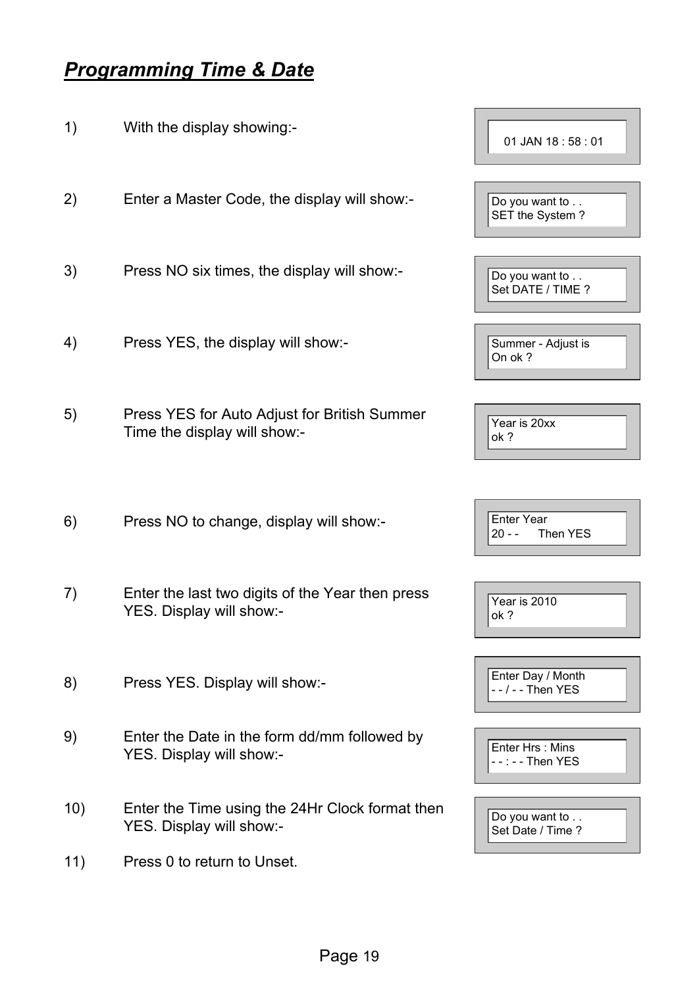## *Programming Time & Date*

1) With the display showing:- 2) Enter a Master Code, the display will show:- 3) Press NO six times, the display will show:- 4) Press YES, the display will show:- 5) Press YES for Auto Adjust for British Summer Time the display will show:- 6) Press NO to change, display will show:- 7) Enter the last two digits of the Year then press YES. Display will show:- 8) Press YES. Display will show:- 9) Enter the Date in the form dd/mm followed by YES. Display will show:- 10) Enter the Time using the 24Hr Clock format then YES. Display will show:- 11) Press 0 to return to Unset. 01 JAN 18 : 58 : 01 Do you want to . . SET the System ? Do you want to .. Set DATE / TIME ? Summer - Adjust is On ok ? Year is 20xx ok ? Enter Year<br>20 - - Th Then YES  $\overline{Y_{\text{PAP}}}$  is 2010 ok ? Enter Day / Month - - / - - Then YES Enter Hrs : Mins - - : - - Then YES Do you want to . . Set Date / Time ?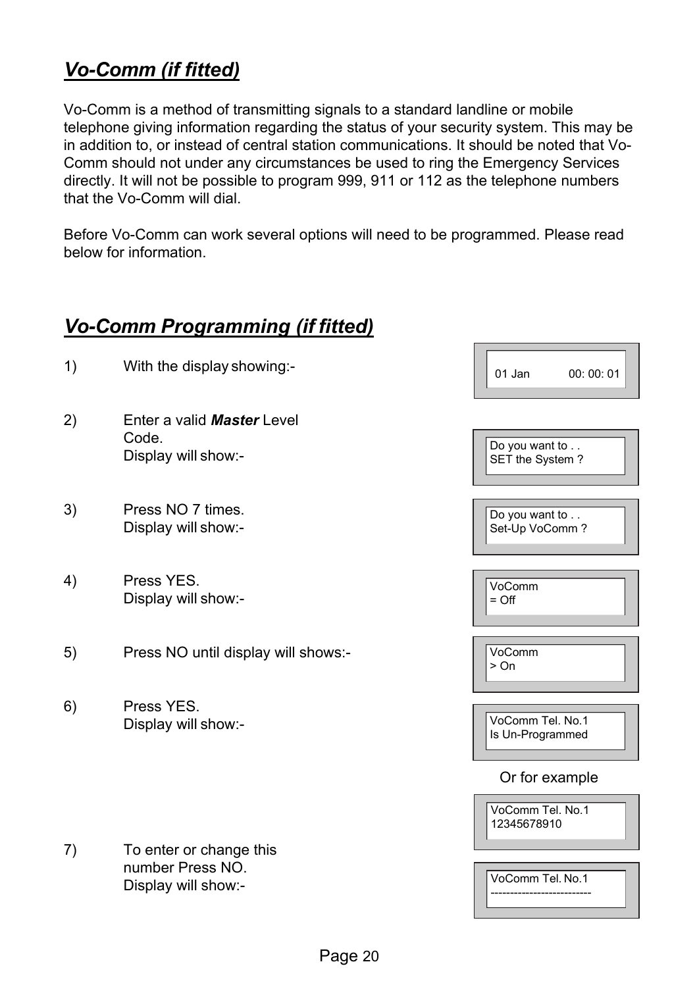## *Vo-Comm (if fitted)*

Vo-Comm is a method of transmitting signals to a standard landline or mobile telephone giving information regarding the status of your security system. This may be in addition to, or instead of central station communications. It should be noted that Vo-Comm should not under any circumstances be used to ring the Emergency Services directly. It will not be possible to program 999, 911 or 112 as the telephone numbers that the Vo-Comm will dial.

Before Vo-Comm can work several options will need to be programmed. Please read below for information.

 $\overline{\phantom{a}}$ 

## *Vo-Comm Programming (if fitted)*

| 1) | With the display showing:-                                         | 00:00:01<br>01 Jan                   |
|----|--------------------------------------------------------------------|--------------------------------------|
| 2) | Enter a valid <b>Master</b> Level<br>Code.<br>Display will show:-  | Do you want to<br>SET the System?    |
| 3) | Press NO 7 times.<br>Display will show:-                           | Do you want to<br>Set-Up VoComm?     |
| 4) | Press YES.<br>Display will show:-                                  | VoComm<br>$=$ Off                    |
| 5) | Press NO until display will shows:-                                | VoComm<br>> 0n                       |
| 6) | Press YES.<br>Display will show:-                                  | VoComm Tel. No.1<br>Is Un-Programmed |
|    |                                                                    | Or for example                       |
|    |                                                                    | VoComm Tel. No.1<br>12345678910      |
| 7) | To enter or change this<br>number Press NO.<br>Display will show:- | VoComm Tel. No.1                     |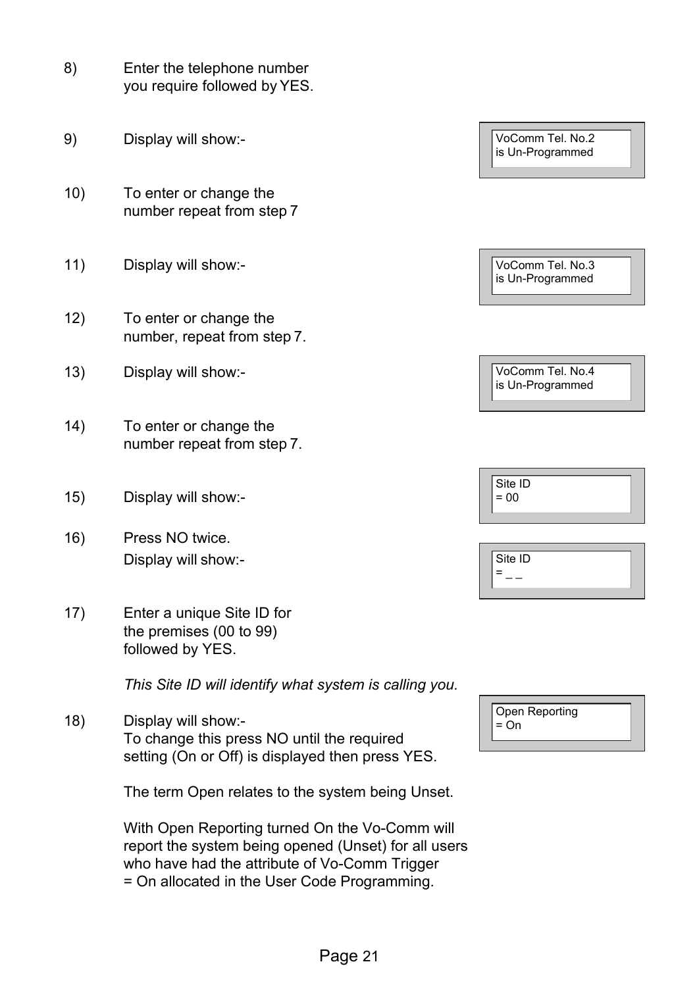| 8)   | Enter the telephone number<br>you require followed by YES.                                                            |                                      |
|------|-----------------------------------------------------------------------------------------------------------------------|--------------------------------------|
| 9)   | Display will show:-                                                                                                   | VoComm Tel. No.2<br>is Un-Programmed |
| 10)  | To enter or change the<br>number repeat from step 7                                                                   |                                      |
| 11)  | Display will show:-                                                                                                   | VoComm Tel. No.3<br>is Un-Programmed |
| 12)  | To enter or change the<br>number, repeat from step 7.                                                                 |                                      |
| (13) | Display will show:-                                                                                                   | VoComm Tel. No.4<br>is Un-Programmed |
| 14)  | To enter or change the<br>number repeat from step 7.                                                                  |                                      |
| 15)  | Display will show:-                                                                                                   | Site ID<br>$= 00$                    |
| 16)  | Press NO twice.<br>Display will show:-                                                                                | Site ID<br>$=$<br>$-$                |
| 17)  | Enter a unique Site ID for<br>the premises (00 to 99)<br>followed by YES.                                             |                                      |
|      | This Site ID will identify what system is calling you.                                                                |                                      |
| 18)  | Display will show:-<br>To change this press NO until the required<br>setting (On or Off) is displayed then press YES. | Open Reporting<br>$=$ On             |
|      | The term Open relates to the system being Unset.                                                                      |                                      |

With Open Reporting turned On the Vo-Comm will report the system being opened (Unset) for all users who have had the attribute of Vo-Comm Trigger = On allocated in the User Code Programming.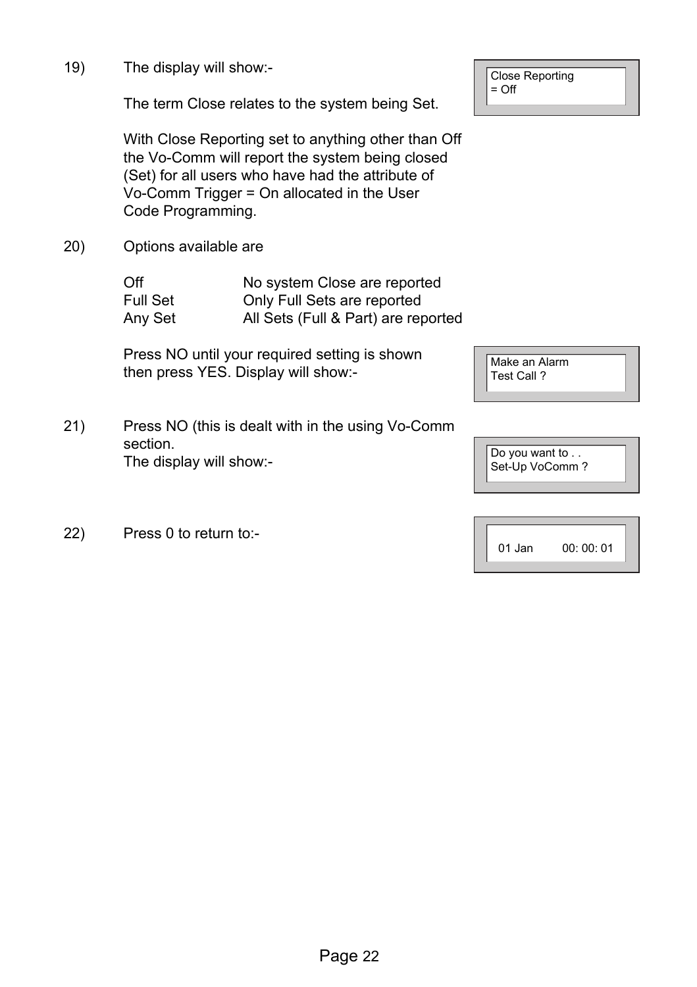19) The display will show:-

The term Close relates to the system being Set.

With Close Reporting set to anything other than Off the Vo-Comm will report the system being closed (Set) for all users who have had the attribute of Vo-Comm Trigger = On allocated in the User Code Programming.

20) Options available are

| Off      | No system Close are reported        |
|----------|-------------------------------------|
| Full Set | Only Full Sets are reported         |
| Any Set  | All Sets (Full & Part) are reported |

Press NO until your required setting is shown then press YES. Display will show:-

- 21) Press NO (this is dealt with in the using Vo-Comm section. The display will show:-
- 22) Press 0 to return to:-

Close Reporting  $=$  Off

Make an Alarm Test Call ?

Do you want to . . Set-Up VoComm ?

| 01 Jan | 00:00:01 |
|--------|----------|
|--------|----------|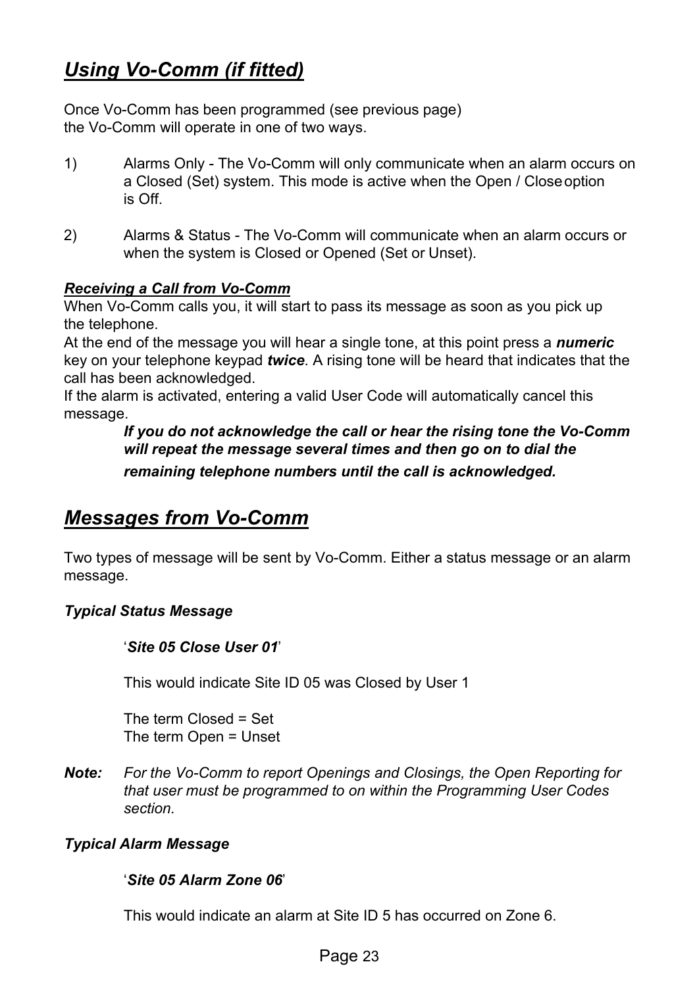## *Using Vo-Comm (if fitted)*

Once Vo-Comm has been programmed (see previous page) the Vo-Comm will operate in one of two ways.

- 1) Alarms Only The Vo-Comm will only communicate when an alarm occurs on a Closed (Set) system. This mode is active when the Open / Close option is Off.
- 2) Alarms & Status The Vo-Comm will communicate when an alarm occurs or when the system is Closed or Opened (Set or Unset).

#### *Receiving a Call from Vo-Comm*

When Vo-Comm calls you, it will start to pass its message as soon as you pick up the telephone.

At the end of the message you will hear a single tone, at this point press a *numeric*  key on your telephone keypad *twice*. A rising tone will be heard that indicates that the call has been acknowledged.

If the alarm is activated, entering a valid User Code will automatically cancel this message.

*If you do not acknowledge the call or hear the rising tone the Vo-Comm will repeat the message several times and then go on to dial the remaining telephone numbers until the call is acknowledged.* 

## *Messages from Vo-Comm*

Two types of message will be sent by Vo-Comm. Either a status message or an alarm message.

#### *Typical Status Message*

'*Site 05 Close User 01*'

This would indicate Site ID 05 was Closed by User 1

The term Closed = Set The term Open = Unset

*Note: For the Vo-Comm to report Openings and Closings, the Open Reporting for that user must be programmed to on within the Programming User Codes section.* 

#### *Typical Alarm Message*

#### '*Site 05 Alarm Zone 06*'

This would indicate an alarm at Site ID 5 has occurred on Zone 6.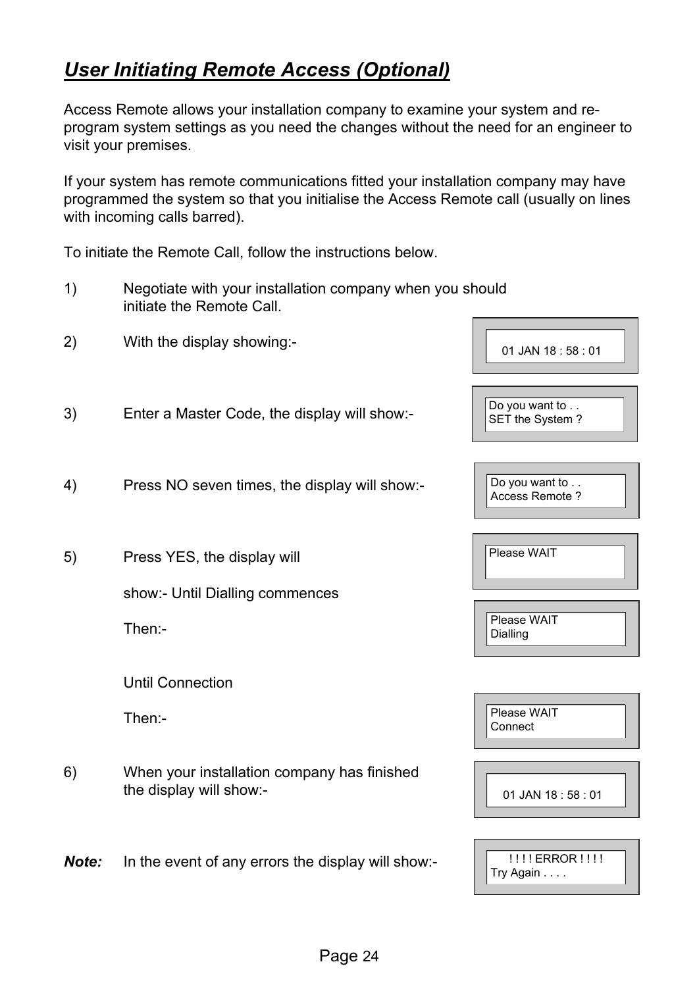## *User Initiating Remote Access (Optional)*

Access Remote allows your installation company to examine your system and reprogram system settings as you need the changes without the need for an engineer to visit your premises.

If your system has remote communications fitted your installation company may have programmed the system so that you initialise the Access Remote call (usually on lines with incoming calls barred).

To initiate the Remote Call, follow the instructions below.

- 1) Negotiate with your installation company when you should initiate the Remote Call.
- 2) With the display showing:-
- 3) Enter a Master Code, the display will show:-
- 4) Press NO seven times, the display will show:-
- 5) Press YES, the display will

show:- Until Dialling commences

Then:-

Until Connection

Then:-

6) When your installation company has finished the display will show:-

*Note:* In the event of any errors the display will show:-

| 01 JAN 18:58:01                   |
|-----------------------------------|
| Do you want to<br>SET the System? |
| Do you want to<br>Access Remote ? |
| Please WAIT                       |
| Please WAIT<br>Dialling           |
| Please WAIT<br>Connect            |
| 01 JAN 18:58:01                   |

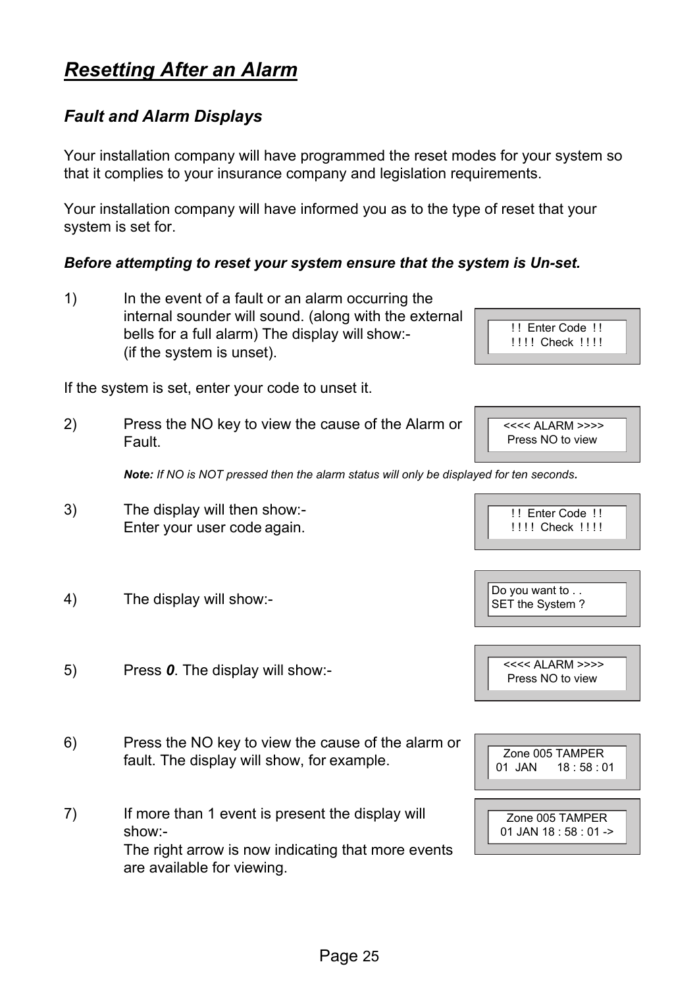## *Resetting After an Alarm*

#### *Fault and Alarm Displays*

Your installation company will have programmed the reset modes for your system so that it complies to your insurance company and legislation requirements.

Your installation company will have informed you as to the type of reset that your system is set for.

#### *Before attempting to reset your system ensure that the system is Un-set.*

1) In the event of a fault or an alarm occurring the internal sounder will sound. (along with the external bells for a full alarm) The display will show:- (if the system is unset).

If the system is set, enter your code to unset it.

2) Press the NO key to view the cause of the Alarm or Fault.

*Note: If NO is NOT pressed then the alarm status will only be displayed for ten seconds.* 

- 3) The display will then show:- Enter your user code again.
- 4) The display will show:-

5) Press *0*. The display will show:-

- 6) Press the NO key to view the cause of the alarm or fault. The display will show, for example.
- 7) If more than 1 event is present the display will show:- The right arrow is now indicating that more events are available for viewing.

!! Enter Code !! !!!! Check !!!!

<<<< ALARM >>>> Press NO to view

Do you want to . . SET the System ?

 $<< <$  ALARM  $>>$ Press NO to view

Zone 005 TAMPER 01 JAN 18:58:01



!! Enter Code !!

!!!! Check !!!!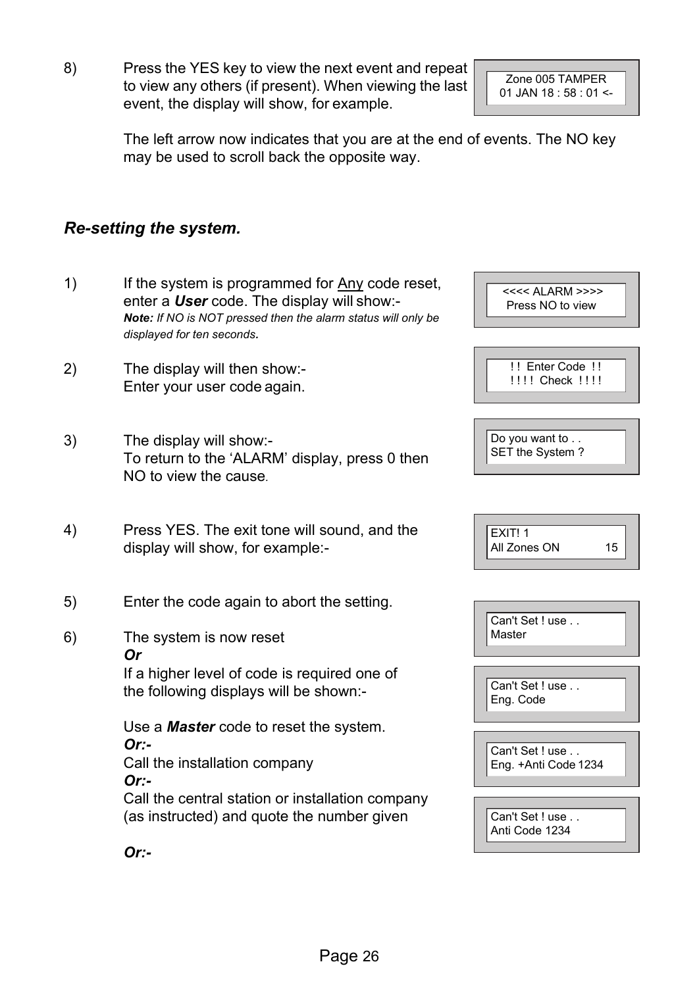8) Press the YES key to view the next event and repeat to view any others (if present). When viewing the last event, the display will show, for example.

Zone 005 TAMPER 01 JAN  $18 \cdot 58 \cdot 01$  <-

<<<< ALARM >>>> Press NO to view

The left arrow now indicates that you are at the end of events. The NO key may be used to scroll back the opposite way.

#### *Re-setting the system.*

- 1) If the system is programmed for Any code reset, enter a *User* code. The display will show:- *Note: If NO is NOT pressed then the alarm status will only be displayed for ten seconds.*
- 2) The display will then show:- Enter your user code again.
- 3) The display will show:- To return to the 'ALARM' display, press 0 then NO to view the cause*.*
- 4) Press YES. The exit tone will sound, and the display will show, for example:-
- 5) Enter the code again to abort the setting.
- 6) The system is now reset *Or*

If a higher level of code is required one of the following displays will be shown:-

Use a *Master* code to reset the system. *Or:-*  Call the installation company *Or:-* 

Call the central station or installation company (as instructed) and quote the number given

Can't Set ! use . . Master Can't Set ! use . . 15  $EXIT!1$ All Zones ON ! ! Enter Code ! ! !!!! Check !!!! Do you want to . . SET the System?

Eng. Code

Can't Set ! use . . Eng. +Anti Code 1234

Can't Set ! use . . Anti Code 1234

*Or:-*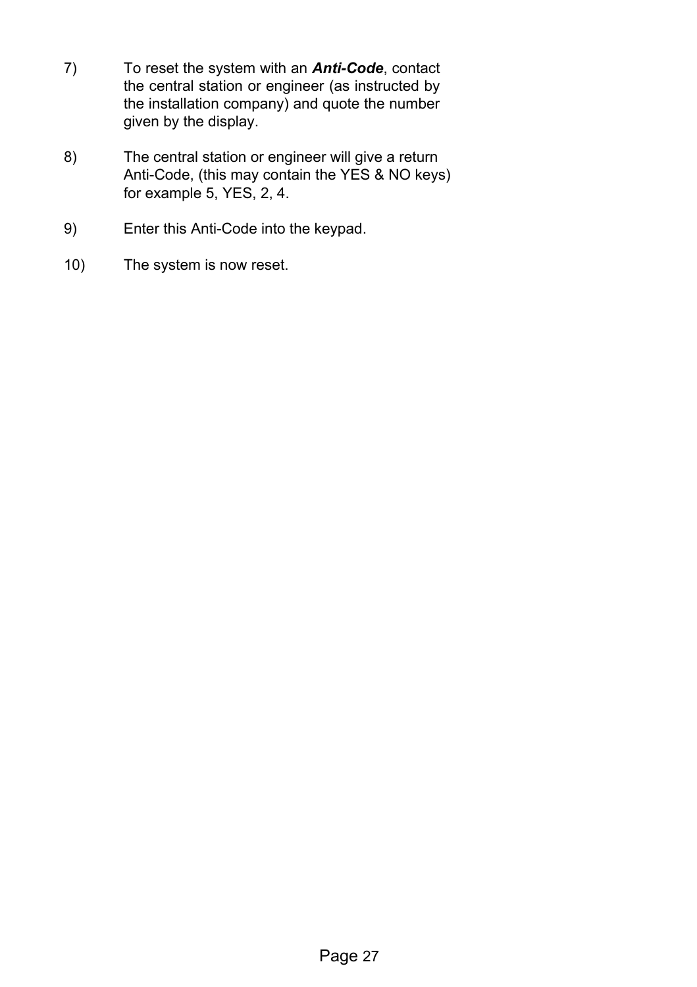- 7) To reset the system with an *Anti-Code*, contact the central station or engineer (as instructed by the installation company) and quote the number given by the display.
- 8) The central station or engineer will give a return Anti-Code, (this may contain the YES & NO keys) for example 5, YES, 2, 4.
- 9) Enter this Anti-Code into the keypad.
- 10) The system is now reset.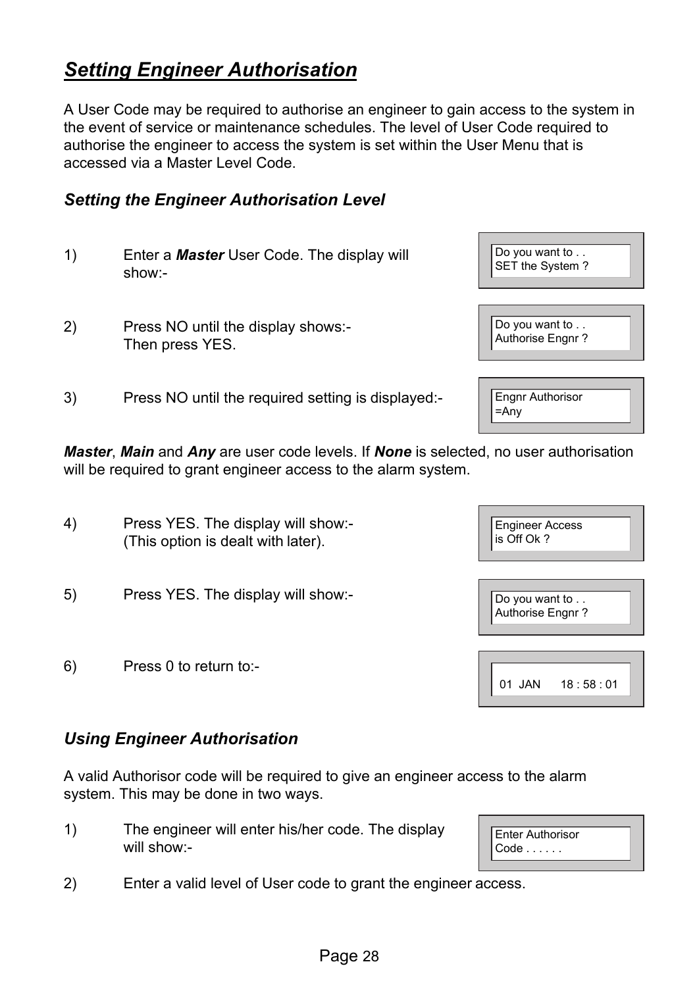## *Setting Engineer Authorisation*

A User Code may be required to authorise an engineer to gain access to the system in the event of service or maintenance schedules. The level of User Code required to authorise the engineer to access the system is set within the User Menu that is accessed via a Master Level Code.

#### *Setting the Engineer Authorisation Level*

- 1) Enter a *Master* User Code. The display will show:-
- 2) Press NO until the display shows:- Then press YES.
- 3) Press NO until the required setting is displayed:-

*Master, Main and Any are user code levels. If None is selected, no user authorisation* will be required to grant engineer access to the alarm system.

- 4) Press YES. The display will show:- (This option is dealt with later).
- 5) Press YES. The display will show:-
- 6) Press 0 to return to:-

#### *Using Engineer Authorisation*

A valid Authorisor code will be required to give an engineer access to the alarm system. This may be done in two ways.

- 1) The engineer will enter his/her code. The display will show:-
- 2) Enter a valid level of User code to grant the engineer access.

| Enter Authorisor<br>$Code \ldots \ldots$ |
|------------------------------------------|
|------------------------------------------|

| <b>Engineer Access</b><br>is Off Ok? |  |
|--------------------------------------|--|
| Do you want to<br>Authorise Engnr?   |  |
|                                      |  |
| 18:58:01<br>.IAN                     |  |

| Do you want to<br>Authorise Engnr? |
|------------------------------------|

Do you want to .. SET the System ?

Engnr Authorisor =Any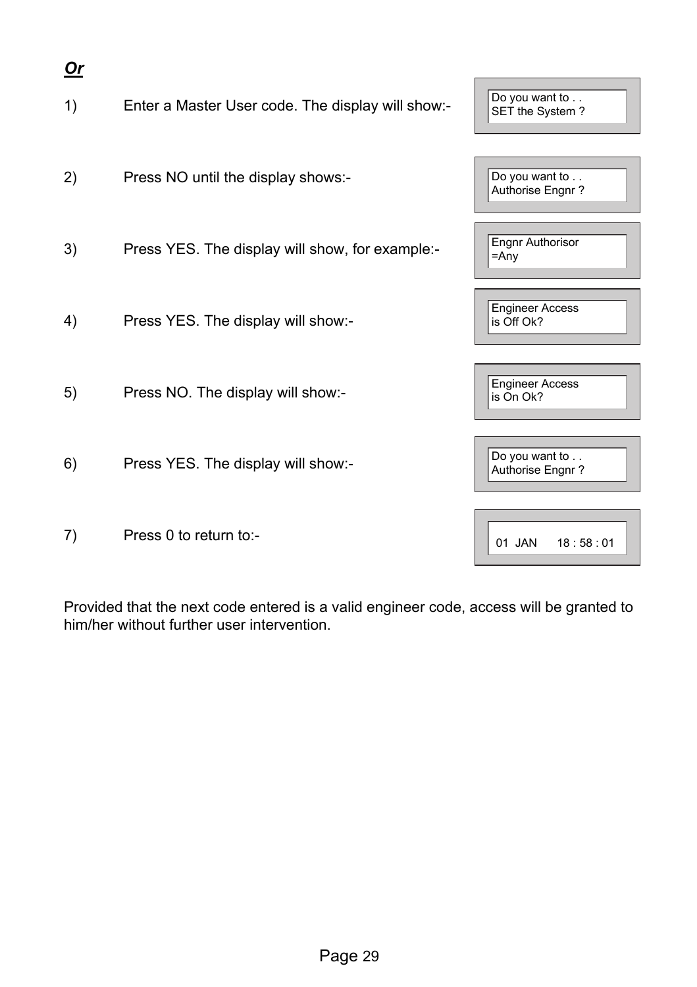| $Or$ |                                                   |                                      |
|------|---------------------------------------------------|--------------------------------------|
| 1)   | Enter a Master User code. The display will show:- | Do you want to<br>SET the System?    |
| 2)   | Press NO until the display shows:-                | Do you want to<br>Authorise Engnr?   |
| 3)   | Press YES. The display will show, for example:-   | <b>Engnr Authorisor</b><br>$=$ Any   |
| 4)   | Press YES. The display will show:-                | <b>Engineer Access</b><br>is Off Ok? |
| 5)   | Press NO. The display will show:-                 | <b>Engineer Access</b><br>is On Ok?  |
| 6)   | Press YES. The display will show:-                | Do you want to<br>Authorise Engnr?   |
| 7)   | Press 0 to return to:-                            | 01 JAN<br>18:58:01                   |

Provided that the next code entered is a valid engineer code, access will be granted to him/her without further user intervention.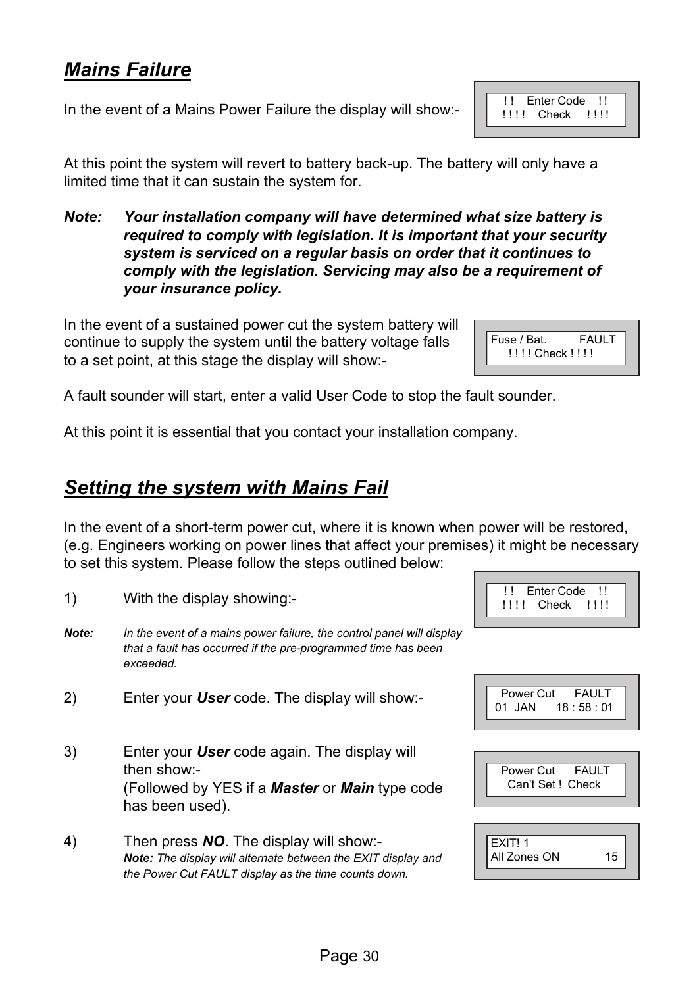## *Mains Failure*

In the event of a Mains Power Failure the display will show:-

At this point the system will revert to battery back-up. The battery will only have a limited time that it can sustain the system for.

*Note: Your installation company will have determined what size battery is required to comply with legislation. It is important that your security system is serviced on a regular basis on order that it continues to comply with the legislation. Servicing may also be a requirement of your insurance policy.* 

In the event of a sustained power cut the system battery will continue to supply the system until the battery voltage falls to a set point, at this stage the display will show:-

A fault sounder will start, enter a valid User Code to stop the fault sounder.

At this point it is essential that you contact your installation company.

#### *Setting the system with Mains Fail*

1) With the display showing:-

In the event of a short-term power cut, where it is known when power will be restored, (e.g. Engineers working on power lines that affect your premises) it might be necessary to set this system. Please follow the steps outlined below:

- *Note: In the event of a mains power failure, the control panel will display that a fault has occurred if the pre-programmed time has been exceeded.*
- 2) Enter your *User* code. The display will show:-
- 3) Enter your *User* code again. The display will then show:- (Followed by YES if a *Master* or *Main* type code has been used).
- 4) Then press *NO*. The display will show:- *Note: The display will alternate between the EXIT display and the Power Cut FAULT display as the time counts down.*

Fuse / Bat. FAULT



!! Enter Code !! !!!! Check !!!!



! ! ! ! Check ! ! ! !

!! Enter Code !! **!!!! Check !!!!**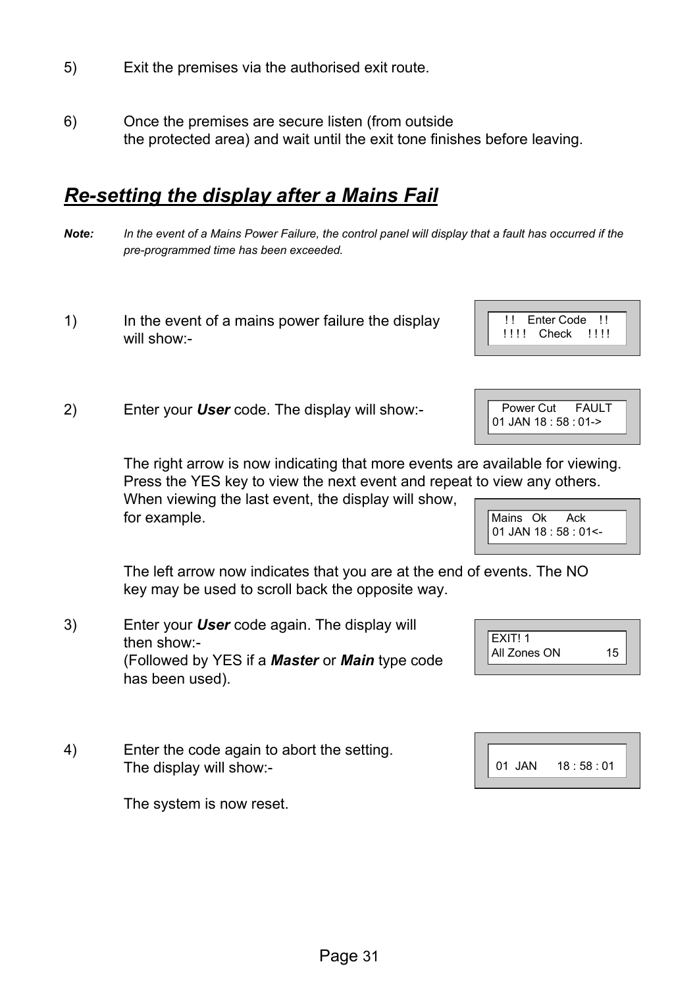- 5) Exit the premises via the authorised exit route.
- 6) Once the premises are secure listen (from outside the protected area) and wait until the exit tone finishes before leaving.

## *Re-setting the display after a Mains Fail*

- *Note: In the event of a Mains Power Failure, the control panel will display that a fault has occurred if the pre-programmed time has been exceeded.*
- 1) In the event of a mains power failure the display will show:-
- 2) Enter your *User* code. The display will show:-

The right arrow is now indicating that more events are available for viewing. Press the YES key to view the next event and repeat to view any others.

When viewing the last event, the display will show, for example.

The left arrow now indicates that you are at the end of events. The NO key may be used to scroll back the opposite way.

- 3) Enter your *User* code again. The display will then show:- (Followed by YES if a *Master* or *Main* type code has been used).
- 4) Enter the code again to abort the setting. The display will show:-

The system is now reset.

| EXIT! 1      |    |  |
|--------------|----|--|
| All Zones ON | 15 |  |









Power Cut FAULT 01 JAN 18 : 58 : 01->

Mains Ok Ack 01 JAN 18 : 58 : 01<-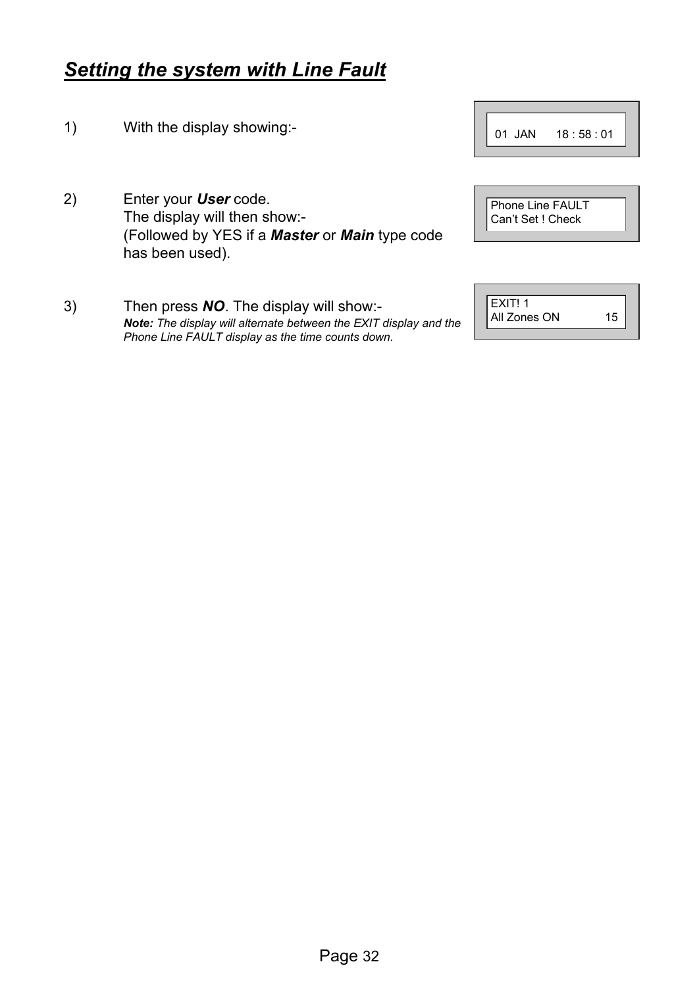#### Page 32

#### *Setting the system with Line Fault*

- 1) With the display showing:-
- 2) Enter your *User* code. The display will then show:- (Followed by YES if a *Master* or *Main* type code has been used).
- 3) Then press *NO*. The display will show:- *Note: The display will alternate between the EXIT display and the Phone Line FAULT display as the time counts down.*

| Phone Line FAULT<br>Can't Set ! Check |
|---------------------------------------|
|                                       |

| EXIT! 1      |    |
|--------------|----|
| All Zones ON | 15 |
|              |    |

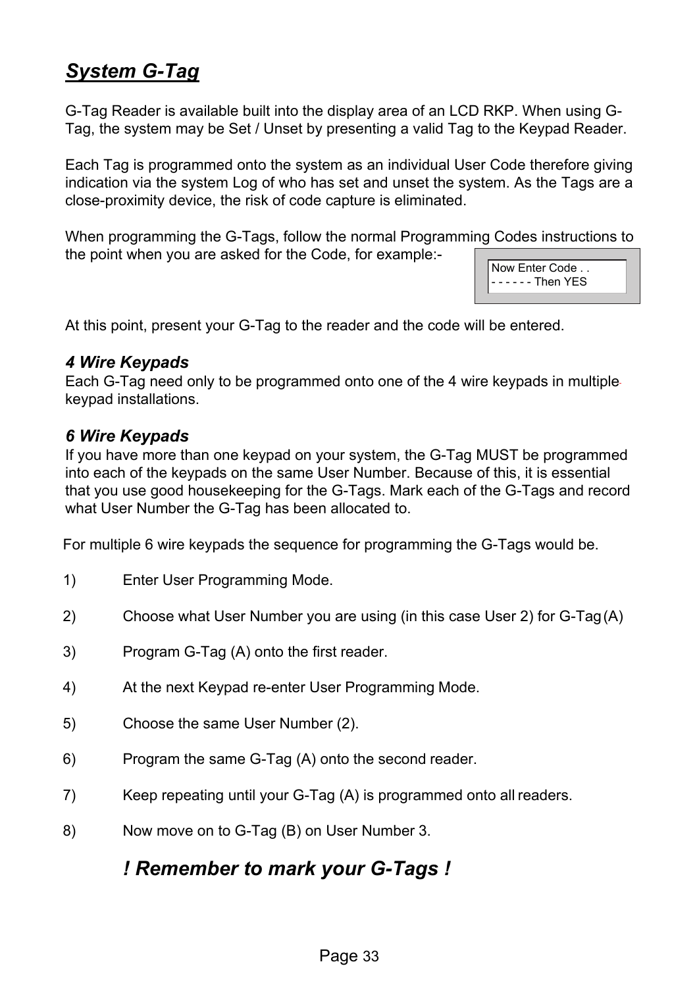## *System G-Tag*

G-Tag Reader is available built into the display area of an LCD RKP. When using G-Tag, the system may be Set / Unset by presenting a valid Tag to the Keypad Reader.

Each Tag is programmed onto the system as an individual User Code therefore giving indication via the system Log of who has set and unset the system. As the Tags are a close-proximity device, the risk of code capture is eliminated.

When programming the G-Tags, follow the normal Programming Codes instructions to the point when you are asked for the Code, for example:-

Now Enter Code . . - - - - - - Then YES

At this point, present your G-Tag to the reader and the code will be entered.

#### *4 Wire Keypads*

Each G-Tag need only to be programmed onto one of the 4 wire keypads in multiple keypad installations.

#### *6 Wire Keypads*

If you have more than one keypad on your system, the G-Tag MUST be programmed into each of the keypads on the same User Number. Because of this, it is essential that you use good housekeeping for the G-Tags. Mark each of the G-Tags and record what User Number the G-Tag has been allocated to.

For multiple 6 wire keypads the sequence for programming the G-Tags would be.

- 1) Enter User Programming Mode.
- 2) Choose what User Number you are using (in this case User 2) for G-Tag (A)
- 3) Program G-Tag (A) onto the first reader.
- 4) At the next Keypad re-enter User Programming Mode.
- 5) Choose the same User Number (2).
- 6) Program the same G-Tag (A) onto the second reader.
- 7) Keep repeating until your G-Tag (A) is programmed onto all readers.
- 8) Now move on to G-Tag (B) on User Number 3.

#### *! Remember to mark your G-Tags !*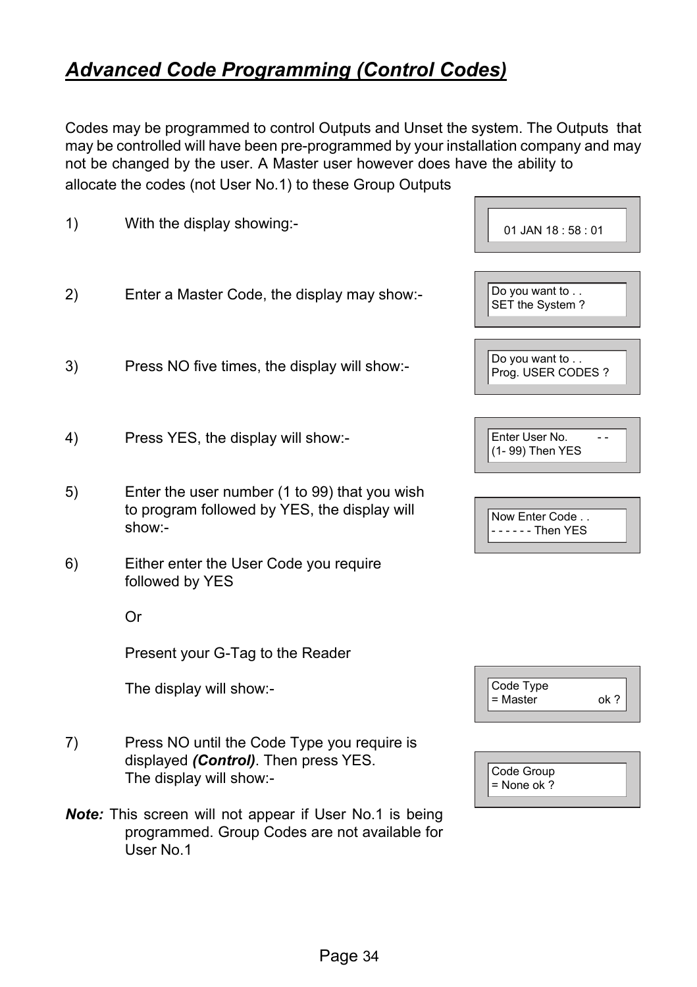## *Advanced Code Programming (Control Codes)*

Codes may be programmed to control Outputs and Unset the system. The Outputs that may be controlled will have been pre-programmed by your installation company and may not be changed by the user. A Master user however does have the ability to allocate the codes (not User No.1) to these Group Outputs

**Contract Contract** 

┑

| 1) | With the display showing:-                                                                                            | 01 JAN 18:58:01                          |
|----|-----------------------------------------------------------------------------------------------------------------------|------------------------------------------|
| 2) | Enter a Master Code, the display may show:-                                                                           | Do you want to<br>SET the System?        |
| 3) | Press NO five times, the display will show:-                                                                          | Do you want to<br>Prog. USER CODES ?     |
| 4) | Press YES, the display will show:-                                                                                    | Enter User No.<br>- -<br>(1-99) Then YES |
| 5) | Enter the user number (1 to 99) that you wish<br>to program followed by YES, the display will<br>show:-               | Now Enter Code<br>- - - - - - Then YES   |
| 6) | Either enter the User Code you require<br>followed by YES                                                             |                                          |
|    | Or                                                                                                                    |                                          |
|    | Present your G-Tag to the Reader                                                                                      |                                          |
|    | The display will show:-                                                                                               | Code Type<br>= Master<br>ok?             |
| 7) | Press NO until the Code Type you require is<br>displayed (Control). Then press YES.<br>The display will show:-        | Code Group<br>$=$ None ok ?              |
|    | Note: This screen will not appear if User No.1 is being<br>programmed. Group Codes are not available for<br>User No.1 |                                          |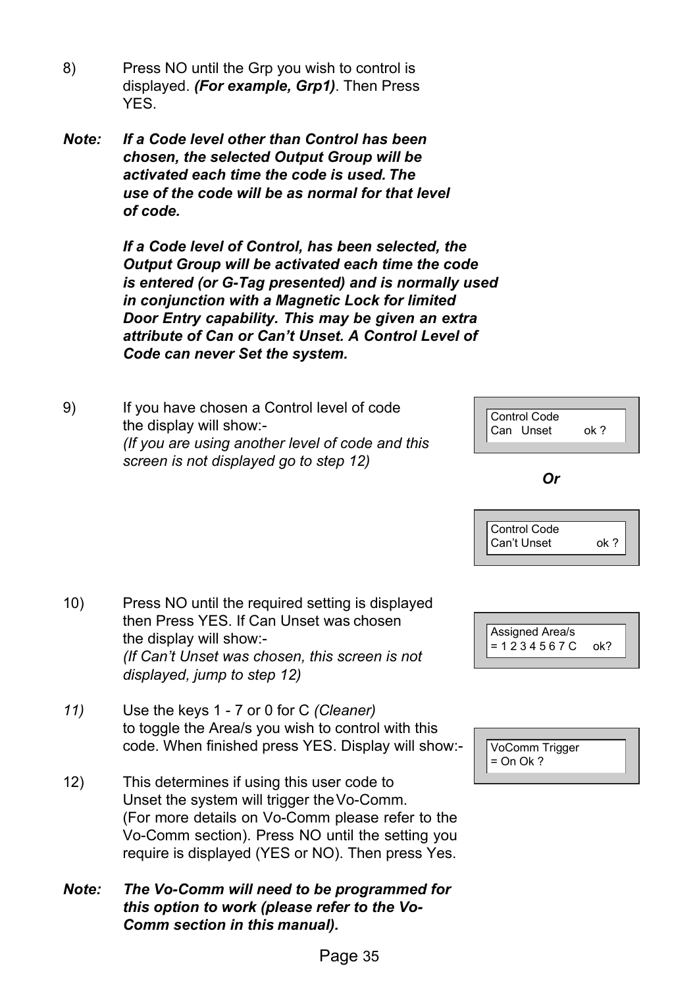- 8) Press NO until the Grp you wish to control is displayed. *(For example, Grp1)*. Then Press YES.
- *Note: If a Code level other than Control has been chosen, the selected Output Group will be activated each time the code is used. The use of the code will be as normal for that level of code.*

*If a Code level of Control, has been selected, the Output Group will be activated each time the code is entered (or G-Tag presented) and is normally used in conjunction with a Magnetic Lock for limited Door Entry capability. This may be given an extra attribute of Can or Can't Unset. A Control Level of Code can never Set the system.* 

9) If you have chosen a Control level of code the display will show:- *(If you are using another level of code and this screen is not displayed go to step 12)* 



#### *Or*





| VoComm Trigger        |  |
|-----------------------|--|
| $\parallel$ = On Ok ? |  |
|                       |  |

- 10) Press NO until the required setting is displayed then Press YES. If Can Unset was chosen the display will show:- *(If Can't Unset was chosen, this screen is not displayed, jump to step 12)*
- *11)* Use the keys 1 7 or 0 for C *(Cleaner)*  to toggle the Area/s you wish to control with this code. When finished press YES. Display will show:-
- 12) This determines if using this user code to Unset the system will trigger the Vo-Comm. (For more details on Vo-Comm please refer to the Vo-Comm section). Press NO until the setting you require is displayed (YES or NO). Then press Yes.
- *Note: The Vo-Comm will need to be programmed for this option to work (please refer to the Vo-Comm section in this manual).*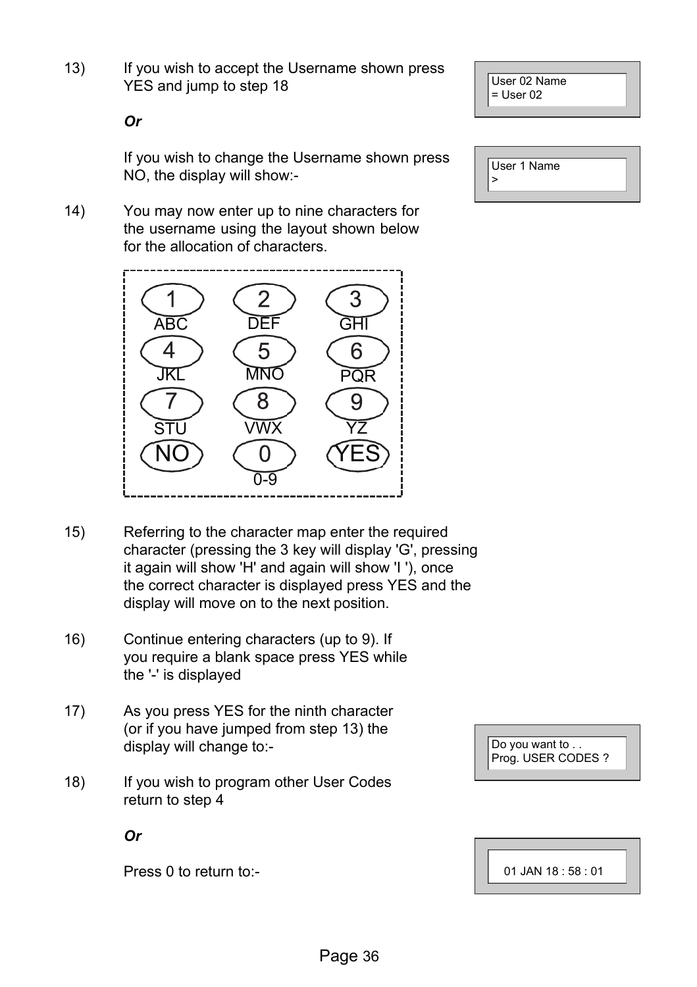Page 36

13) If you wish to accept the Username shown press YES and jump to step 18

User 02 Name = User 02

*Or* 

If you wish to change the Username shown press NO, the display will show:-

14) You may now enter up to nine characters for the username using the layout shown below for the allocation of characters.



- 15) Referring to the character map enter the required character (pressing the 3 key will display 'G', pressing it again will show 'H' and again will show 'I '), once the correct character is displayed press YES and the display will move on to the next position.
- 16) Continue entering characters (up to 9). If you require a blank space press YES while the '-' is displayed
- 17) As you press YES for the ninth character (or if you have jumped from step 13) the display will change to:-
- 18) If you wish to program other User Codes return to step 4

*Or* 

Press 0 to return to:-

User 1 Name  $\overline{ }$ 

Do you want to . . Prog. USER CODES ?

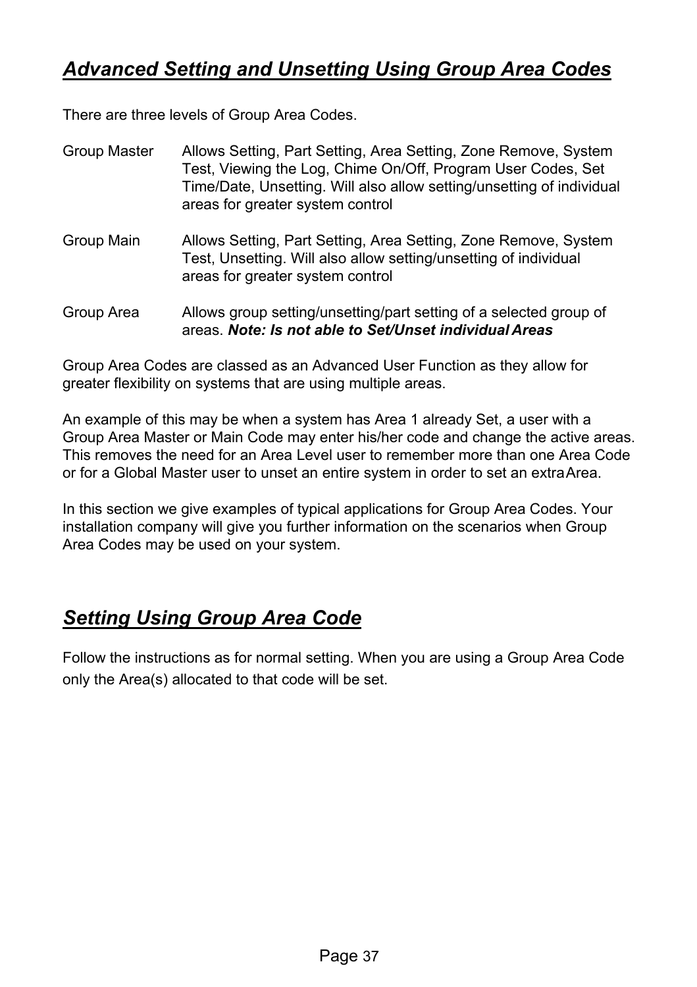## *Advanced Setting and Unsetting Using Group Area Codes*

There are three levels of Group Area Codes.

| Group Master | Allows Setting, Part Setting, Area Setting, Zone Remove, System<br>Test, Viewing the Log, Chime On/Off, Program User Codes, Set<br>Time/Date, Unsetting. Will also allow setting/unsetting of individual<br>areas for greater system control |
|--------------|----------------------------------------------------------------------------------------------------------------------------------------------------------------------------------------------------------------------------------------------|
| Group Main   | Allows Setting, Part Setting, Area Setting, Zone Remove, System<br>Test, Unsetting. Will also allow setting/unsetting of individual<br>areas for greater system control                                                                      |
| Group Area   | Allows group setting/unsetting/part setting of a selected group of<br>areas. Note: Is not able to Set/Unset individual Areas                                                                                                                 |

Group Area Codes are classed as an Advanced User Function as they allow for greater flexibility on systems that are using multiple areas.

An example of this may be when a system has Area 1 already Set, a user with a Group Area Master or Main Code may enter his/her code and change the active areas. This removes the need for an Area Level user to remember more than one Area Code or for a Global Master user to unset an entire system in order to set an extra Area.

In this section we give examples of typical applications for Group Area Codes. Your installation company will give you further information on the scenarios when Group Area Codes may be used on your system.

## *Setting Using Group Area Code*

Follow the instructions as for normal setting. When you are using a Group Area Code only the Area(s) allocated to that code will be set.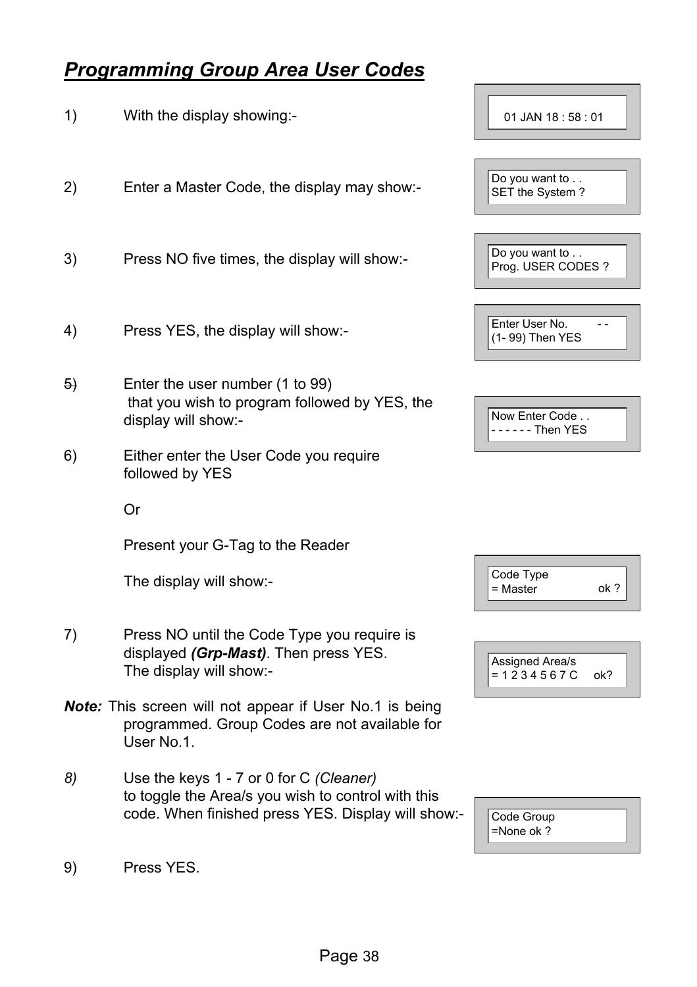#### *Programming Group Area User Codes*

1) With the display showing:- 2) Enter a Master Code, the display may show:- 3) Press NO five times, the display will show:- 4) Press YES, the display will show:- 5) Enter the user number (1 to 99) that you wish to program followed by YES, the display will show:- 6) Either enter the User Code you require followed by YES Or Present your G-Tag to the Reader The display will show:- 7) Press NO until the Code Type you require is displayed *(Grp-Mast)*. Then press YES. The display will show:- *Note:* This screen will not appear if User No.1 is being programmed. Group Codes are not available for User No.1. *8)* Use the keys 1 - 7 or 0 for C *(Cleaner)*  to toggle the Area/s you wish to control with this code. When finished press YES. Display will show:- 01 JAN 18 : 58 : 01 Do you want to . . SET the System ?

Do you want to . . Prog. USER CODES ? Enter User No. --(1- 99) Then YES Now Enter Code . . - - - - - - Then YES

| Code Type<br>= Master | nk ? |  |
|-----------------------|------|--|
|                       |      |  |



| Code Group<br>$=$ None ok ? |  |
|-----------------------------|--|
|-----------------------------|--|

9) Press YES.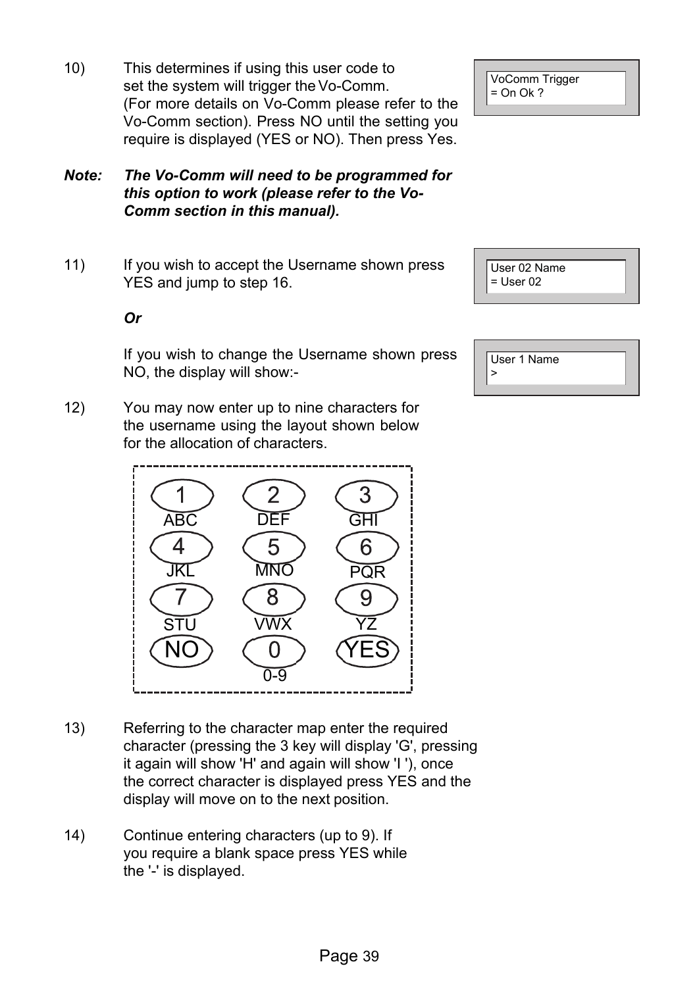10) This determines if using this user code to set the system will trigger the Vo-Comm. (For more details on Vo-Comm please refer to the Vo-Comm section). Press NO until the setting you require is displayed (YES or NO). Then press Yes.

#### *Note: The Vo-Comm will need to be programmed for this option to work (please refer to the Vo-Comm section in this manual).*

11) If you wish to accept the Username shown press YES and jump to step 16.

#### *Or*

If you wish to change the Username shown press NO, the display will show:-

12) You may now enter up to nine characters for the username using the layout shown below for the allocation of characters.

- 13) Referring to the character map enter the required character (pressing the 3 key will display 'G', pressing it again will show 'H' and again will show 'I '), once the correct character is displayed press YES and the display will move on to the next position.
- 14) Continue entering characters (up to 9). If you require a blank space press YES while the '-' is displayed.

VoComm Trigger  $=$  On Ok ?

User 02 Name  $=$  User 02

| User 1 Name |
|-------------|
|             |
|             |

| <b>ABC</b><br>JKI<br>STU | $\overline{2}$<br>DEF<br>5<br>MNC<br>8<br><b>VWX</b><br>Ĩ, | 3<br>GHI<br>6<br>PQR<br>q |
|--------------------------|------------------------------------------------------------|---------------------------|
| <b>NO</b>                | -9                                                         | <b>YES</b>                |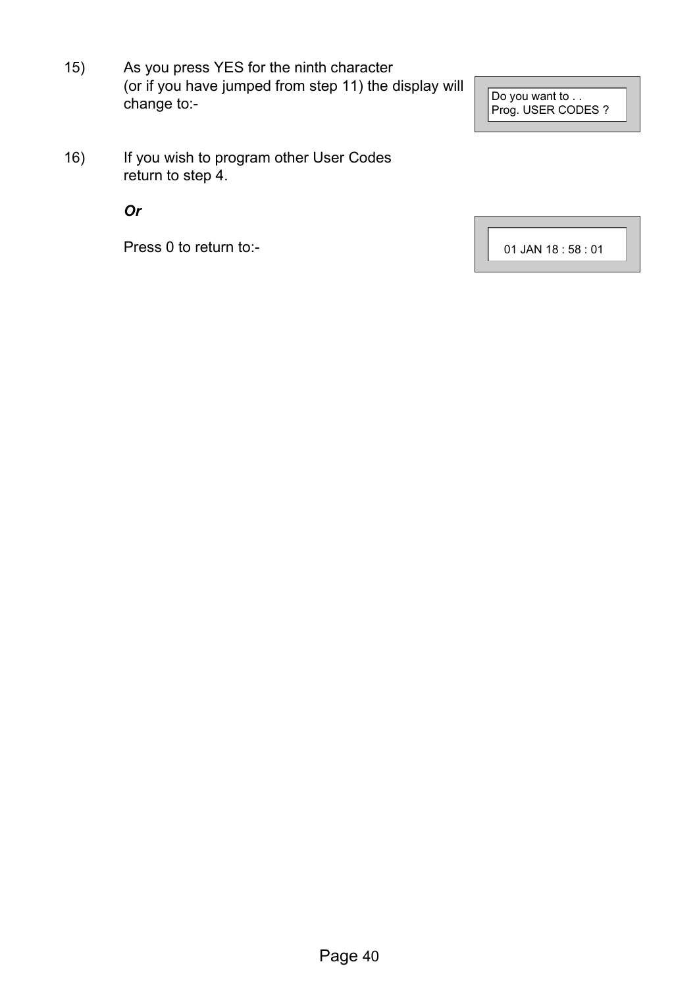15) As you press YES for the ninth character (or if you have jumped from step 11) the display will change to:-

Do you want to . . Prog. USER CODES ?

16) If you wish to program other User Codes return to step 4.

*Or* 

Press 0 to return to:-

01 JAN 18 : 58 : 01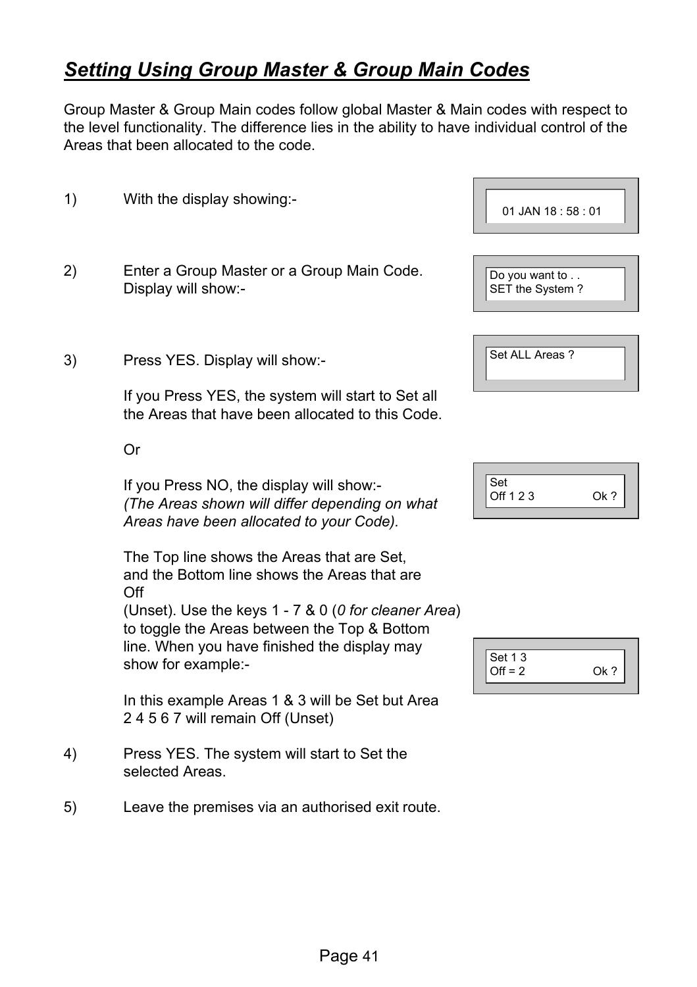## *Setting Using Group Master & Group Main Codes*

Group Master & Group Main codes follow global Master & Main codes with respect to the level functionality. The difference lies in the ability to have individual control of the Areas that been allocated to the code.

1) With the display showing:- 2) Enter a Group Master or a Group Main Code. Display will show:- 3) Press YES. Display will show:- If you Press YES, the system will start to Set all the Areas that have been allocated to this Code. 01 JAN 18 : 58 : 01 Do you want to . . SET the System? Set ALL Areas ?

Or

If you Press NO, the display will show:- *(The Areas shown will differ depending on what Areas have been allocated to your Code).* 

The Top line shows the Areas that are Set, and the Bottom line shows the Areas that are Off

(Unset). Use the keys 1 - 7 & 0 (*0 for cleaner Area*) to toggle the Areas between the Top & Bottom line. When you have finished the display may show for example:-

In this example Areas 1 & 3 will be Set but Area 2 4 5 6 7 will remain Off (Unset)

- 4) Press YES. The system will start to Set the selected Areas.
- 5) Leave the premises via an authorised exit route.

| O |
|---|
|   |

| <b>Set 13</b> |        |
|---------------|--------|
| $Off = 2$     | $Qk$ 2 |
|               |        |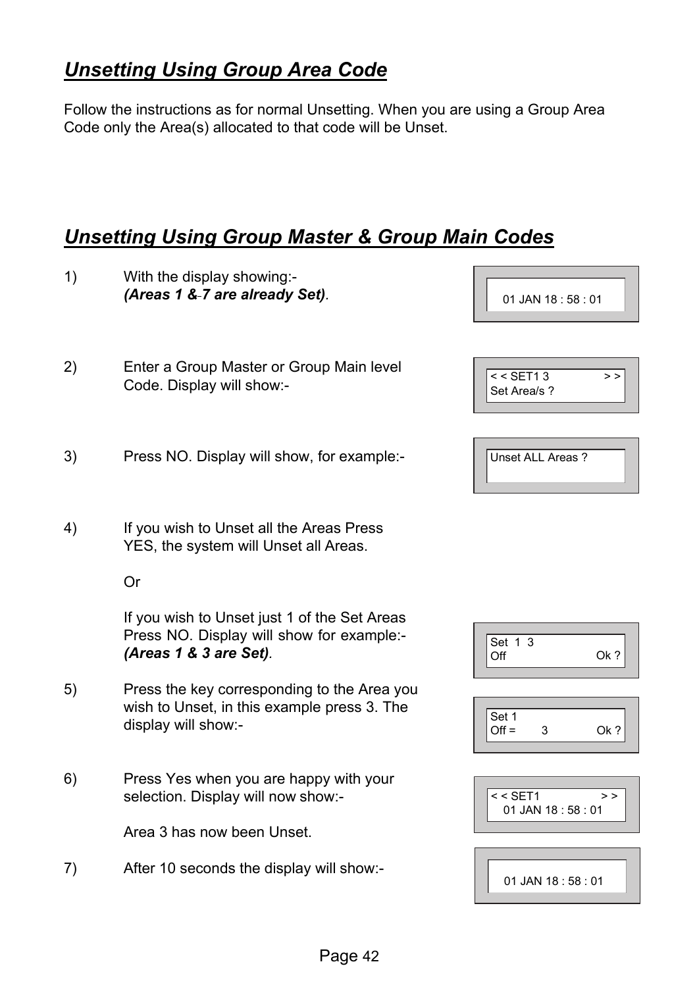## *Unsetting Using Group Area Code*

Follow the instructions as for normal Unsetting. When you are using a Group Area Code only the Area(s) allocated to that code will be Unset.

## *Unsetting Using Group Master & Group Main Codes*

| 1) | With the display showing:-<br>(Areas 1 & 7 are already Set).                                                        | 01 JAN 18:58:01                         |
|----|---------------------------------------------------------------------------------------------------------------------|-----------------------------------------|
| 2) | Enter a Group Master or Group Main level<br>Code. Display will show:-                                               | $<$ SET13<br>><br>Set Area/s ?          |
| 3) | Press NO. Display will show, for example:-                                                                          | Unset ALL Areas ?                       |
| 4) | If you wish to Unset all the Areas Press<br>YES, the system will Unset all Areas.                                   |                                         |
|    | Or                                                                                                                  |                                         |
|    | If you wish to Unset just 1 of the Set Areas<br>Press NO. Display will show for example:-<br>(Areas 1 & 3 are Set). | Set 1 3<br>Off<br>Ok?                   |
| 5) | Press the key corresponding to the Area you<br>wish to Unset, in this example press 3. The<br>display will show:-   | Set 1<br>$Off =$<br>3<br>Ok?            |
| 6) | Press Yes when you are happy with your<br>selection. Display will now show:-                                        | $<<$ SET1<br>$>$ $>$<br>01 JAN 18:58:01 |
|    | Area 3 has now been Unset.                                                                                          |                                         |
| 7) | After 10 seconds the display will show:-                                                                            | 01 JAN 18:58:01                         |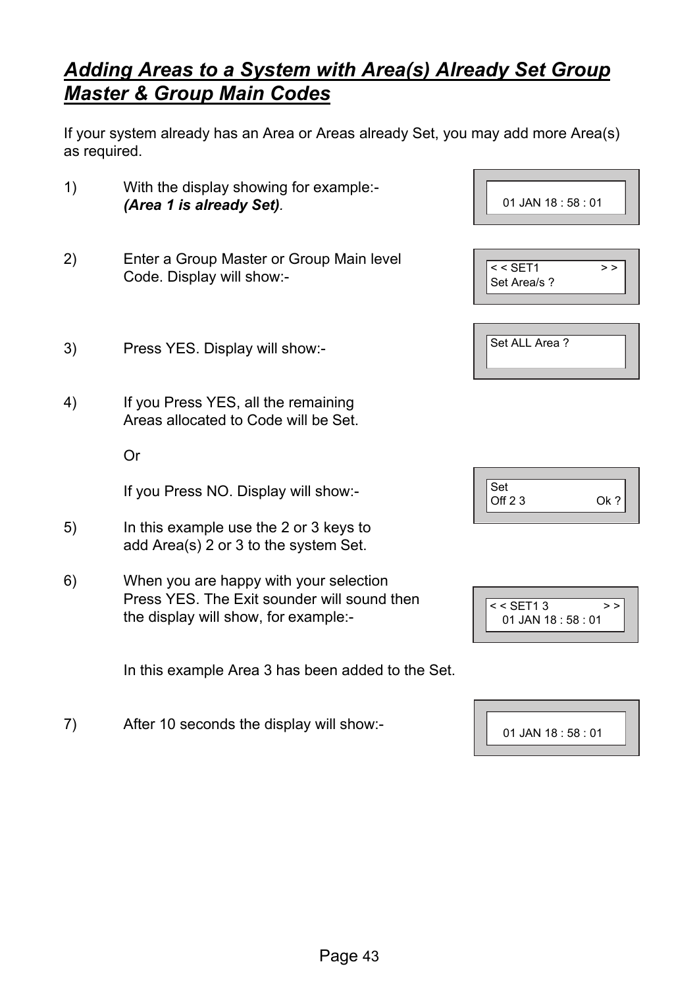## *Adding Areas to a System with Area(s) Already Set Group Master & Group Main Codes*

If your system already has an Area or Areas already Set, you may add more Area(s) as required.

- 1) With the display showing for example:- *(Area 1 is already Set).*
- 2) Enter a Group Master or Group Main level Code. Display will show:-
- 3) Press YES. Display will show:-
- 4) If you Press YES, all the remaining Areas allocated to Code will be Set.

Or

If you Press NO. Display will show:-

- 5) In this example use the 2 or 3 keys to add Area(s) 2 or 3 to the system Set.
- 6) When you are happy with your selection Press YES. The Exit sounder will sound then the display will show, for example:-

In this example Area 3 has been added to the Set.

7) After 10 seconds the display will show:-

| <u>UIJANIU. JU. UI</u>       |  |
|------------------------------|--|
|                              |  |
| $<$ SET1<br>><br>Set Area/s? |  |
| Set ALL Area?                |  |

01 JAN 18 : 58 : 01

| Set    |  |
|--------|--|
| Off 23 |  |
|        |  |

| $<$ SET13             |  |
|-----------------------|--|
| $01$ JAN 18 : 58 : 01 |  |
|                       |  |

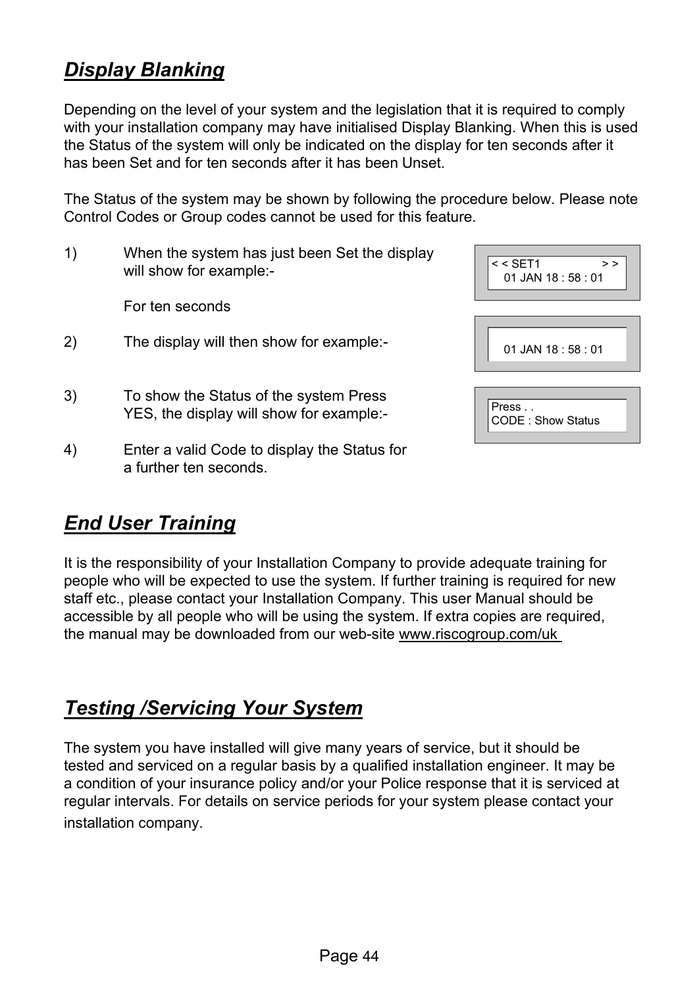## *Display Blanking*

Depending on the level of your system and the legislation that it is required to comply with your installation company may have initialised Display Blanking. When this is used the Status of the system will only be indicated on the display for ten seconds after it has been Set and for ten seconds after it has been Unset.

The Status of the system may be shown by following the procedure below. Please note Control Codes or Group codes cannot be used for this feature.

1) When the system has just been Set the display will show for example:-

For ten seconds

- 2) The display will then show for example:-
- 3) To show the Status of the system Press YES, the display will show for example:-
- 4) Enter a valid Code to display the Status for a further ten seconds.

| $<$ SET1<br>><br>$01$ JAN 18 : 58 : 01 |  |
|----------------------------------------|--|
| $01$ JAN 18 : 58 : 01                  |  |
| Press<br><b>CODE: Show Status</b>      |  |

## *End User Training*

It is the responsibility of your Installation Company to provide adequate training for people who will be expected to use the system. If further training is required for new staff etc., please contact your Installation Company. This user Manual should be accessible by all people who will be using the system. If extra copies are required, the manual may be downloaded from our web-site www.riscogroup.com/uk

## *Testing /Servicing Your System*

The system you have installed will give many years of service, but it should be tested and serviced on a regular basis by a qualified installation engineer. It may be a condition of your insurance policy and/or your Police response that it is serviced at regular intervals. For details on service periods for your system please contact your installation company.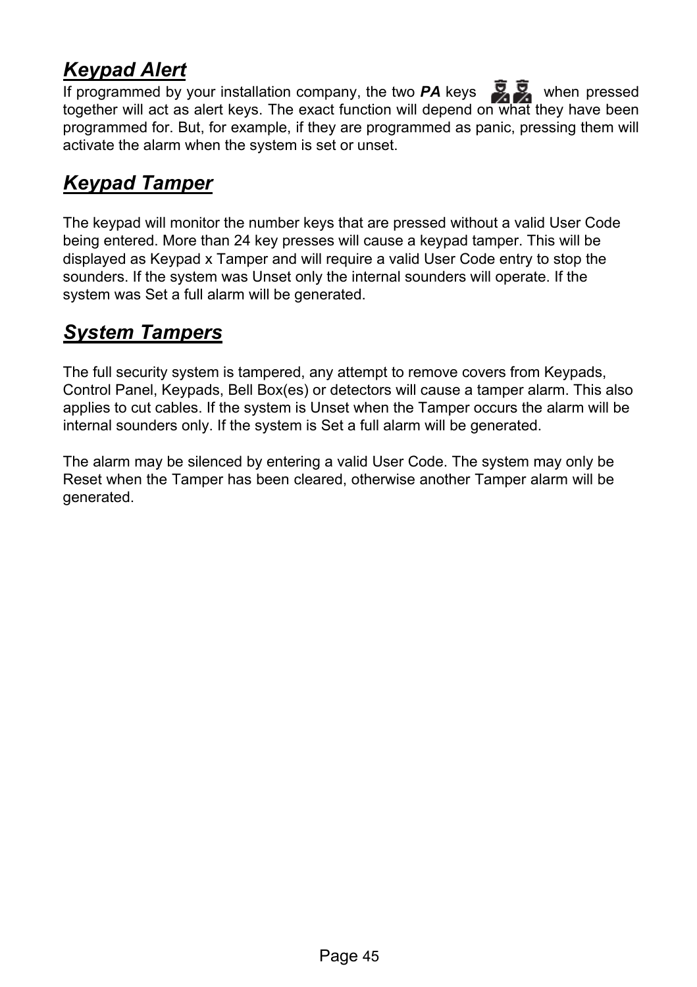## *Keypad Alert*

If programmed by your installation company, the two  $PA$  keys  $\overline{Q}$ , when pressed together will act as alert keys. The exact function will depend on what they have been programmed for. But, for example, if they are programmed as panic, pressing them will activate the alarm when the system is set or unset.

## *Keypad Tamper*

The keypad will monitor the number keys that are pressed without a valid User Code being entered. More than 24 key presses will cause a keypad tamper. This will be displayed as Keypad x Tamper and will require a valid User Code entry to stop the sounders. If the system was Unset only the internal sounders will operate. If the system was Set a full alarm will be generated.

## *System Tampers*

The full security system is tampered, any attempt to remove covers from Keypads, Control Panel, Keypads, Bell Box(es) or detectors will cause a tamper alarm. This also applies to cut cables. If the system is Unset when the Tamper occurs the alarm will be internal sounders only. If the system is Set a full alarm will be generated.

The alarm may be silenced by entering a valid User Code. The system may only be Reset when the Tamper has been cleared, otherwise another Tamper alarm will be generated.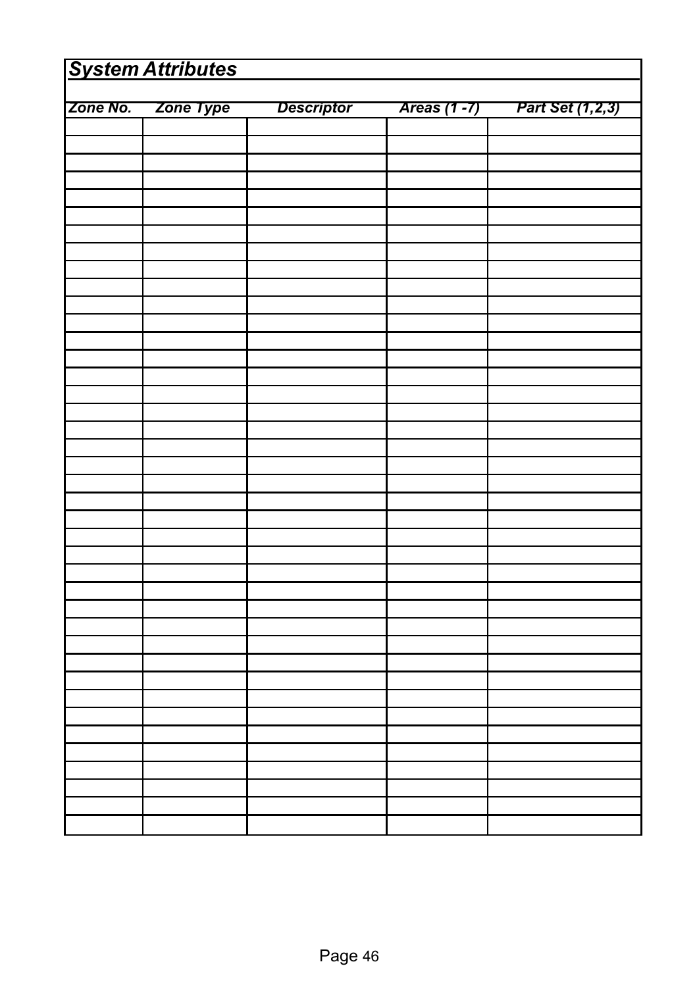| Zone No.<br>Zone Type<br><b>Descriptor</b><br>Areas (1 -7)<br>Part Set (1,2,3) | <b>System Attributes</b> |  |  |  |  |  |
|--------------------------------------------------------------------------------|--------------------------|--|--|--|--|--|
|                                                                                |                          |  |  |  |  |  |
|                                                                                |                          |  |  |  |  |  |
|                                                                                |                          |  |  |  |  |  |
|                                                                                |                          |  |  |  |  |  |
|                                                                                |                          |  |  |  |  |  |
|                                                                                |                          |  |  |  |  |  |
|                                                                                |                          |  |  |  |  |  |
|                                                                                |                          |  |  |  |  |  |
|                                                                                |                          |  |  |  |  |  |
|                                                                                |                          |  |  |  |  |  |
|                                                                                |                          |  |  |  |  |  |
|                                                                                |                          |  |  |  |  |  |
|                                                                                |                          |  |  |  |  |  |
|                                                                                |                          |  |  |  |  |  |
|                                                                                |                          |  |  |  |  |  |
|                                                                                |                          |  |  |  |  |  |
|                                                                                |                          |  |  |  |  |  |
|                                                                                |                          |  |  |  |  |  |
|                                                                                |                          |  |  |  |  |  |
|                                                                                |                          |  |  |  |  |  |
|                                                                                |                          |  |  |  |  |  |
|                                                                                |                          |  |  |  |  |  |
|                                                                                |                          |  |  |  |  |  |
|                                                                                |                          |  |  |  |  |  |
|                                                                                |                          |  |  |  |  |  |
|                                                                                |                          |  |  |  |  |  |
|                                                                                |                          |  |  |  |  |  |
|                                                                                |                          |  |  |  |  |  |
|                                                                                |                          |  |  |  |  |  |
|                                                                                |                          |  |  |  |  |  |
|                                                                                |                          |  |  |  |  |  |
|                                                                                |                          |  |  |  |  |  |
|                                                                                |                          |  |  |  |  |  |
|                                                                                |                          |  |  |  |  |  |
|                                                                                |                          |  |  |  |  |  |
|                                                                                |                          |  |  |  |  |  |
|                                                                                |                          |  |  |  |  |  |
|                                                                                |                          |  |  |  |  |  |
|                                                                                |                          |  |  |  |  |  |
|                                                                                |                          |  |  |  |  |  |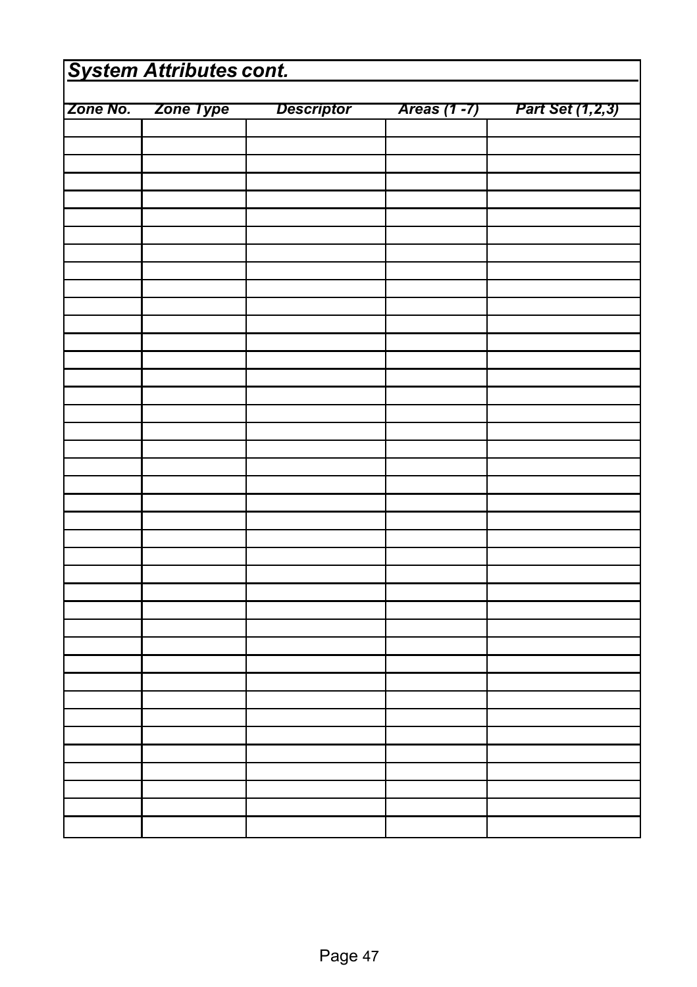| <b>System Attributes cont.</b> |  |  |              |                  |  |
|--------------------------------|--|--|--------------|------------------|--|
| Zone No. Zone Type Descriptor  |  |  |              |                  |  |
|                                |  |  | Areas (1 -7) | Part Set (1,2,3) |  |
|                                |  |  |              |                  |  |
|                                |  |  |              |                  |  |
|                                |  |  |              |                  |  |
|                                |  |  |              |                  |  |
|                                |  |  |              |                  |  |
|                                |  |  |              |                  |  |
|                                |  |  |              |                  |  |
|                                |  |  |              |                  |  |
|                                |  |  |              |                  |  |
|                                |  |  |              |                  |  |
|                                |  |  |              |                  |  |
|                                |  |  |              |                  |  |
|                                |  |  |              |                  |  |
|                                |  |  |              |                  |  |
|                                |  |  |              |                  |  |
|                                |  |  |              |                  |  |
|                                |  |  |              |                  |  |
|                                |  |  |              |                  |  |
|                                |  |  |              |                  |  |
|                                |  |  |              |                  |  |
|                                |  |  |              |                  |  |
|                                |  |  |              |                  |  |
|                                |  |  |              |                  |  |
|                                |  |  |              |                  |  |
|                                |  |  |              |                  |  |
|                                |  |  |              |                  |  |
|                                |  |  |              |                  |  |
|                                |  |  |              |                  |  |
|                                |  |  |              |                  |  |
|                                |  |  |              |                  |  |
|                                |  |  |              |                  |  |
|                                |  |  |              |                  |  |
|                                |  |  |              |                  |  |
|                                |  |  |              |                  |  |
|                                |  |  |              |                  |  |
|                                |  |  |              |                  |  |
|                                |  |  |              |                  |  |
|                                |  |  |              |                  |  |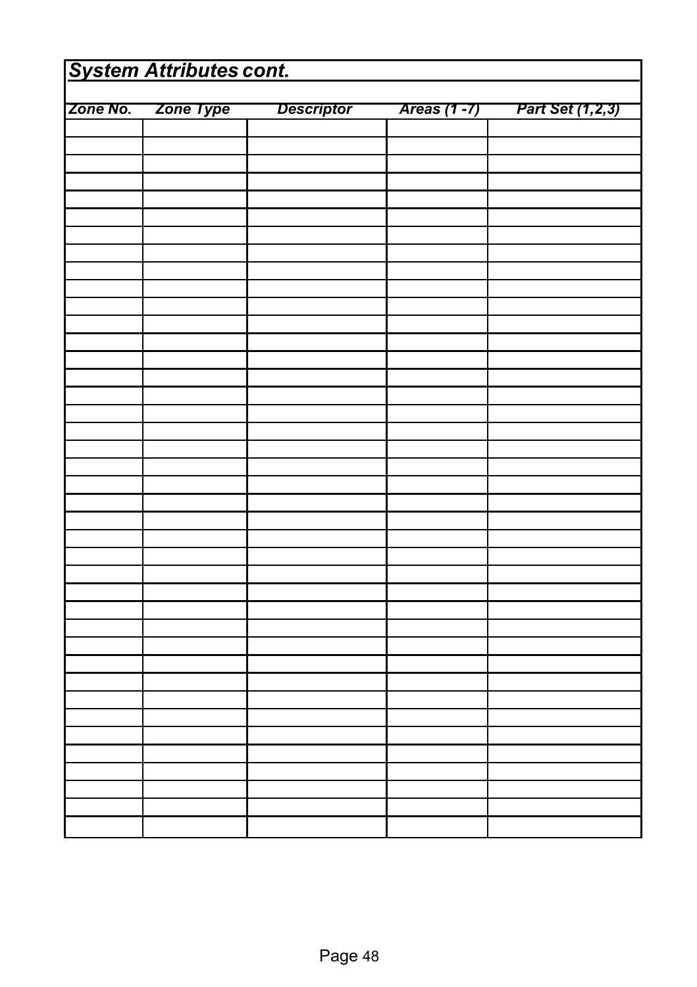| <b>System Attributes cont.</b> |                    |                   |               |                  |
|--------------------------------|--------------------|-------------------|---------------|------------------|
|                                |                    |                   |               |                  |
|                                | Zone No. Zone Type | <b>Descriptor</b> | Areas (1 - 7) | Part Set (1,2,3) |
|                                |                    |                   |               |                  |
|                                |                    |                   |               |                  |
|                                |                    |                   |               |                  |
|                                |                    |                   |               |                  |
|                                |                    |                   |               |                  |
|                                |                    |                   |               |                  |
|                                |                    |                   |               |                  |
|                                |                    |                   |               |                  |
|                                |                    |                   |               |                  |
|                                |                    |                   |               |                  |
|                                |                    |                   |               |                  |
|                                |                    |                   |               |                  |
|                                |                    |                   |               |                  |
|                                |                    |                   |               |                  |
|                                |                    |                   |               |                  |
|                                |                    |                   |               |                  |
|                                |                    |                   |               |                  |
|                                |                    |                   |               |                  |
|                                |                    |                   |               |                  |
|                                |                    |                   |               |                  |
|                                |                    |                   |               |                  |
|                                |                    |                   |               |                  |
|                                |                    |                   |               |                  |
|                                |                    |                   |               |                  |
|                                |                    |                   |               |                  |
|                                |                    |                   |               |                  |
|                                |                    |                   |               |                  |
|                                |                    |                   |               |                  |
|                                |                    |                   |               |                  |
|                                |                    |                   |               |                  |
|                                |                    |                   |               |                  |
|                                |                    |                   |               |                  |
|                                |                    |                   |               |                  |
|                                |                    |                   |               |                  |
|                                |                    |                   |               |                  |
|                                |                    |                   |               |                  |
|                                |                    |                   |               |                  |
|                                |                    |                   |               |                  |
|                                |                    |                   |               |                  |
|                                |                    |                   |               |                  |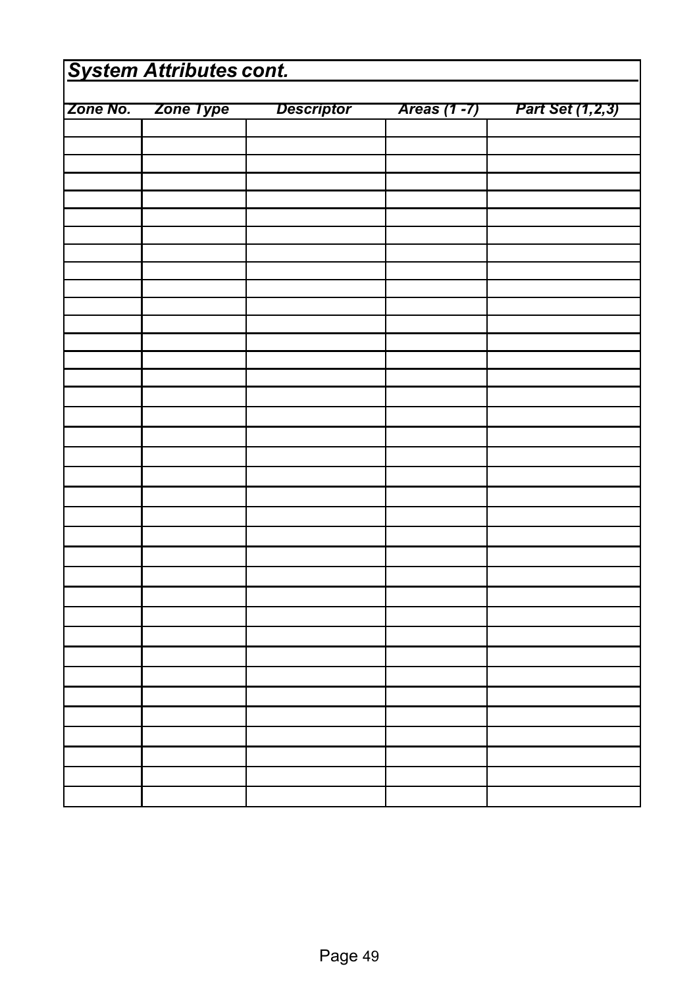| <b>System Attributes cont.</b> |           |                   |              |                  |
|--------------------------------|-----------|-------------------|--------------|------------------|
|                                |           |                   |              |                  |
| Zone No.                       | Zone Type | <b>Descriptor</b> | Areas (1 -7) | Part Set (1,2,3) |
|                                |           |                   |              |                  |
|                                |           |                   |              |                  |
|                                |           |                   |              |                  |
|                                |           |                   |              |                  |
|                                |           |                   |              |                  |
|                                |           |                   |              |                  |
|                                |           |                   |              |                  |
|                                |           |                   |              |                  |
|                                |           |                   |              |                  |
|                                |           |                   |              |                  |
|                                |           |                   |              |                  |
|                                |           |                   |              |                  |
|                                |           |                   |              |                  |
|                                |           |                   |              |                  |
|                                |           |                   |              |                  |
|                                |           |                   |              |                  |
|                                |           |                   |              |                  |
|                                |           |                   |              |                  |
|                                |           |                   |              |                  |
|                                |           |                   |              |                  |
|                                |           |                   |              |                  |
|                                |           |                   |              |                  |
|                                |           |                   |              |                  |
|                                |           |                   |              |                  |
|                                |           |                   |              |                  |
|                                |           |                   |              |                  |
|                                |           |                   |              |                  |
|                                |           |                   |              |                  |
|                                |           |                   |              |                  |
|                                |           |                   |              |                  |
|                                |           |                   |              |                  |
|                                |           |                   |              |                  |
|                                |           |                   |              |                  |
|                                |           |                   |              |                  |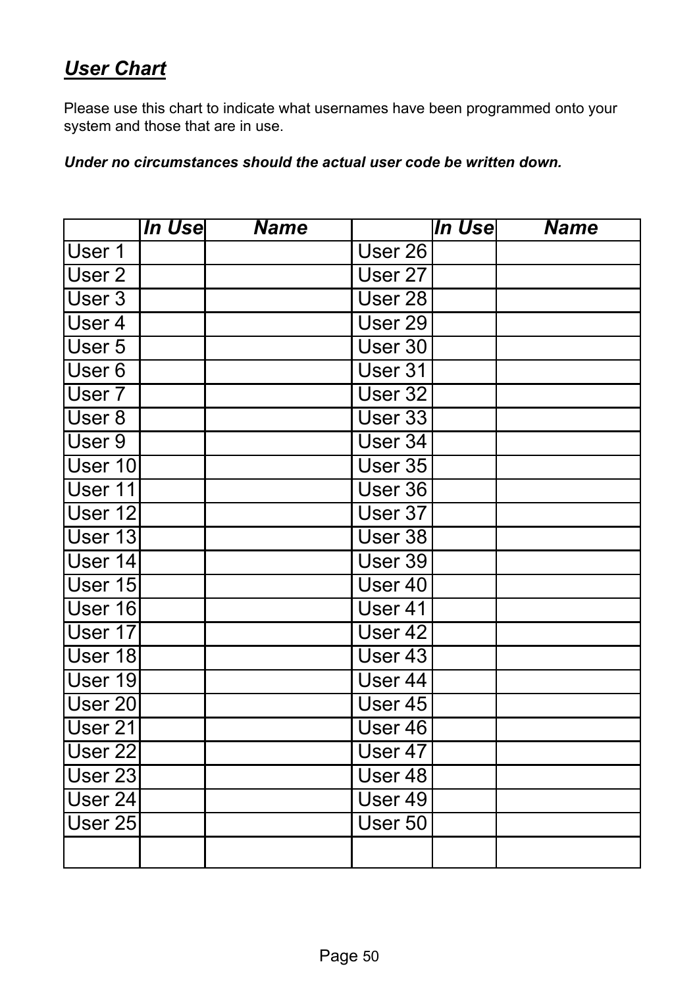## *User Chart*

Please use this chart to indicate what usernames have been programmed onto your system and those that are in use.

*Under no circumstances should the actual user code be written down.* 

|                    | <b>In Use</b> | <b>Name</b> |                       | In Use | <b>Name</b> |
|--------------------|---------------|-------------|-----------------------|--------|-------------|
| User 1             |               |             | User 26               |        |             |
| User 2             |               |             | User 27               |        |             |
| User $3$           |               |             | $\overline{U}$ ser 28 |        |             |
| User 4             |               |             | User <sub>29</sub>    |        |             |
| User 5             |               |             | User 30               |        |             |
| User 6             |               |             | User 31               |        |             |
| User 7             |               |             | User 32               |        |             |
| User 8             |               |             | User 33               |        |             |
| User 9             |               |             | User 34               |        |             |
| User 10            |               |             | User 35               |        |             |
| User 11            |               |             | User 36               |        |             |
| User 12            |               |             | User 37               |        |             |
| User 13            |               |             | User 38               |        |             |
| User 14            |               |             | User 39               |        |             |
| User 15            |               |             | User 40               |        |             |
| User 16            |               |             | User 41               |        |             |
| User 17            |               |             | User <sub>42</sub>    |        |             |
| User 18            |               |             | User 43               |        |             |
| User 19            |               |             | User $44$             |        |             |
| User <sub>20</sub> |               |             | User 45               |        |             |
| User 21            |               |             | User 46               |        |             |
| User <sub>22</sub> |               |             | User 47               |        |             |
| User <sub>23</sub> |               |             | User 48               |        |             |
| User 24            |               |             | User 49               |        |             |
| User 25            |               |             | User 50               |        |             |
|                    |               |             |                       |        |             |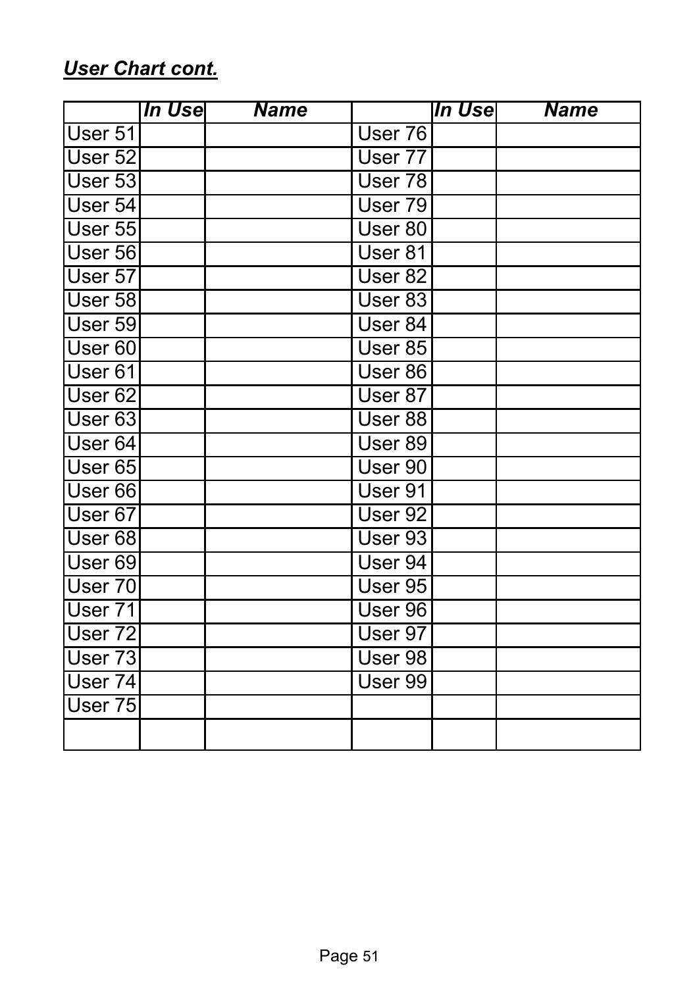## *User Chart cont.*

|                    | In Use | <b>Name</b> |                    | In Use | <b>Name</b> |
|--------------------|--------|-------------|--------------------|--------|-------------|
| User 51            |        |             | User 76            |        |             |
| User 52            |        |             | User 77            |        |             |
| User 53            |        |             | User 78            |        |             |
| User 54            |        |             | User 79            |        |             |
| User 55            |        |             | User 80            |        |             |
| User 56            |        |             | User 81            |        |             |
| User 57            |        |             | User 82            |        |             |
| User 58            |        |             | User 83            |        |             |
| User 59            |        |             | User 84            |        |             |
| User 60            |        |             | User 85            |        |             |
| User 61            |        |             | User 86            |        |             |
| User 62            |        |             | User 87            |        |             |
| User 63            |        |             | User 88            |        |             |
| User 64            |        |             | User 89            |        |             |
| User 65            |        |             | User 90            |        |             |
| User 66            |        |             | User 91            |        |             |
| User 67            |        |             | User <sub>92</sub> |        |             |
| User 68            |        |             | User 93            |        |             |
| User 69            |        |             | User 94            |        |             |
| User $70$          |        |             | User 95            |        |             |
| User 71            |        |             | User 96            |        |             |
| User <sub>72</sub> |        |             | User 97            |        |             |
| User 73            |        |             | User 98            |        |             |
| User 74            |        |             | User 99            |        |             |
| User 75            |        |             |                    |        |             |
|                    |        |             |                    |        |             |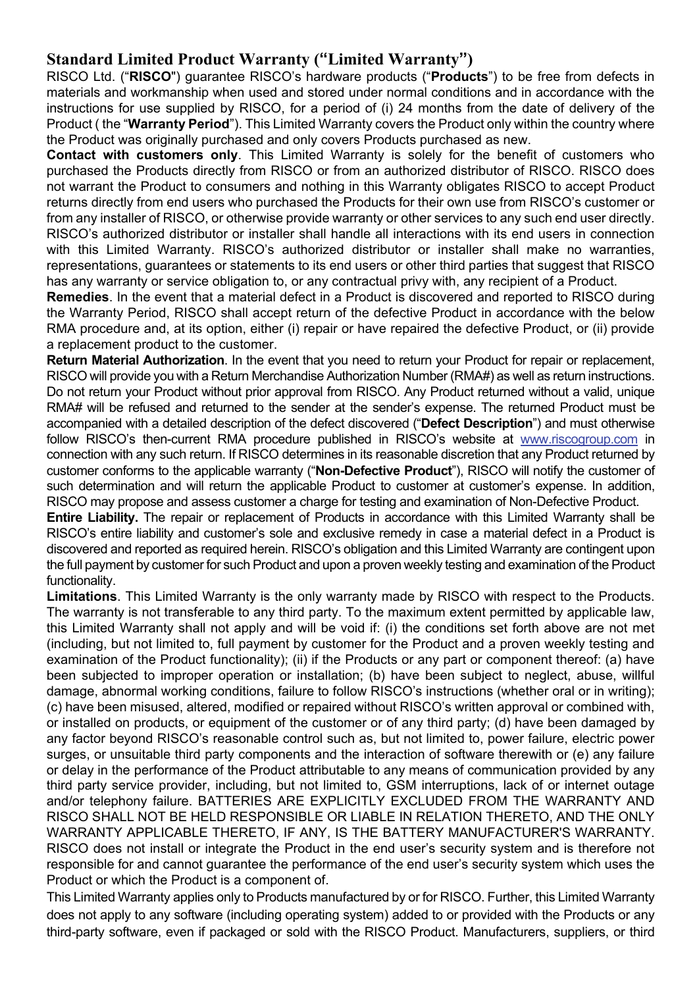#### **Standard Limited Product Warranty ("Limited Warranty")**

RISCO Ltd. ("**RISCO**") guarantee RISCO's hardware products ("**Products**") to be free from defects in materials and workmanship when used and stored under normal conditions and in accordance with the instructions for use supplied by RISCO, for a period of (i) 24 months from the date of delivery of the Product ( the "**Warranty Period**"). This Limited Warranty covers the Product only within the country where the Product was originally purchased and only covers Products purchased as new.

**Contact with customers only**. This Limited Warranty is solely for the benefit of customers who purchased the Products directly from RISCO or from an authorized distributor of RISCO. RISCO does not warrant the Product to consumers and nothing in this Warranty obligates RISCO to accept Product returns directly from end users who purchased the Products for their own use from RISCO's customer or from any installer of RISCO, or otherwise provide warranty or other services to any such end user directly. RISCO's authorized distributor or installer shall handle all interactions with its end users in connection with this Limited Warranty. RISCO's authorized distributor or installer shall make no warranties, representations, guarantees or statements to its end users or other third parties that suggest that RISCO has any warranty or service obligation to, or any contractual privy with, any recipient of a Product.

**Remedies**. In the event that a material defect in a Product is discovered and reported to RISCO during the Warranty Period, RISCO shall accept return of the defective Product in accordance with the below RMA procedure and, at its option, either (i) repair or have repaired the defective Product, or (ii) provide a replacement product to the customer.

**Return Material Authorization**. In the event that you need to return your Product for repair or replacement, RISCO will provide you with a Return Merchandise Authorization Number (RMA#) as well as return instructions. Do not return your Product without prior approval from RISCO. Any Product returned without a valid, unique RMA# will be refused and returned to the sender at the sender's expense. The returned Product must be accompanied with a detailed description of the defect discovered ("**Defect Description**") and must otherwise follow RISCO's then-current RMA procedure published in RISCO's website at www.riscogroup.com in connection with any such return. If RISCO determines in its reasonable discretion that any Product returned by customer conforms to the applicable warranty ("**Non-Defective Product**"), RISCO will notify the customer of such determination and will return the applicable Product to customer at customer's expense. In addition, RISCO may propose and assess customer a charge for testing and examination of Non-Defective Product.

**Entire Liability.** The repair or replacement of Products in accordance with this Limited Warranty shall be RISCO's entire liability and customer's sole and exclusive remedy in case a material defect in a Product is discovered and reported as required herein. RISCO's obligation and this Limited Warranty are contingent upon the full payment by customer for such Product and upon a proven weekly testing and examination of the Product functionality.

**Limitations**. This Limited Warranty is the only warranty made by RISCO with respect to the Products. The warranty is not transferable to any third party. To the maximum extent permitted by applicable law, this Limited Warranty shall not apply and will be void if: (i) the conditions set forth above are not met (including, but not limited to, full payment by customer for the Product and a proven weekly testing and examination of the Product functionality); (ii) if the Products or any part or component thereof: (a) have been subjected to improper operation or installation; (b) have been subject to neglect, abuse, willful damage, abnormal working conditions, failure to follow RISCO's instructions (whether oral or in writing); (c) have been misused, altered, modified or repaired without RISCO's written approval or combined with, or installed on products, or equipment of the customer or of any third party; (d) have been damaged by any factor beyond RISCO's reasonable control such as, but not limited to, power failure, electric power surges, or unsuitable third party components and the interaction of software therewith or (e) any failure or delay in the performance of the Product attributable to any means of communication provided by any third party service provider, including, but not limited to, GSM interruptions, lack of or internet outage and/or telephony failure. BATTERIES ARE EXPLICITLY EXCLUDED FROM THE WARRANTY AND RISCO SHALL NOT BE HELD RESPONSIBLE OR LIABLE IN RELATION THERETO, AND THE ONLY WARRANTY APPLICABLE THERETO, IF ANY, IS THE BATTERY MANUFACTURER'S WARRANTY. RISCO does not install or integrate the Product in the end user's security system and is therefore not responsible for and cannot guarantee the performance of the end user's security system which uses the Product or which the Product is a component of.

This Limited Warranty applies only to Products manufactured by or for RISCO. Further, this Limited Warranty does not apply to any software (including operating system) added to or provided with the Products or any third-party software, even if packaged or sold with the RISCO Product. Manufacturers, suppliers, or third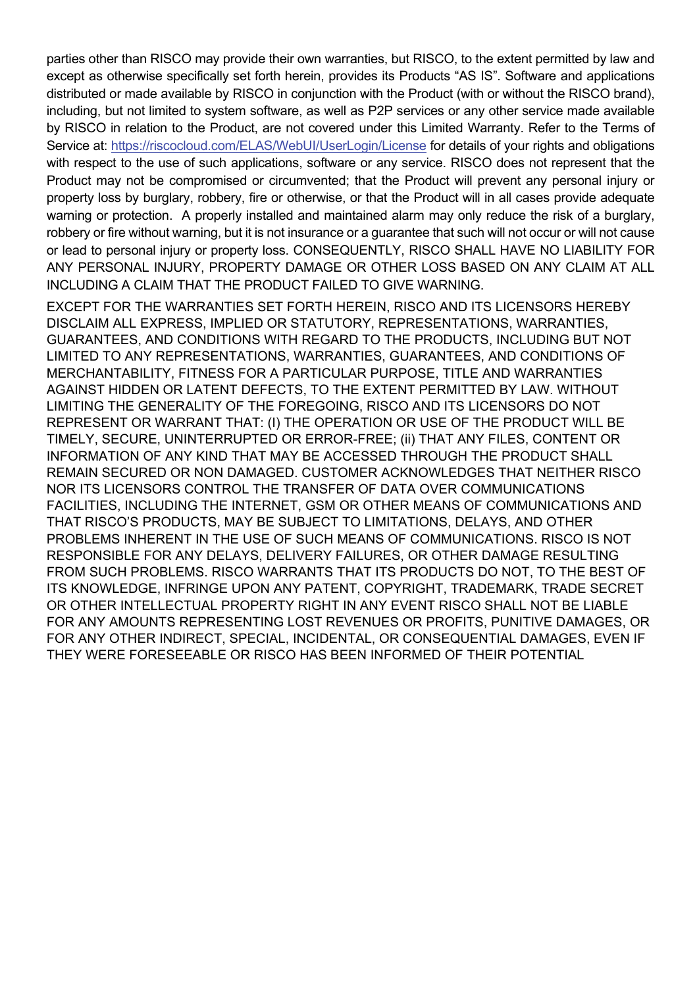parties other than RISCO may provide their own warranties, but RISCO, to the extent permitted by law and except as otherwise specifically set forth herein, provides its Products "AS IS". Software and applications distributed or made available by RISCO in conjunction with the Product (with or without the RISCO brand), including, but not limited to system software, as well as P2P services or any other service made available by RISCO in relation to the Product, are not covered under this Limited Warranty. Refer to the Terms of Service at: https://riscocloud.com/ELAS/WebUI/UserLogin/License for details of your rights and obligations with respect to the use of such applications, software or any service. RISCO does not represent that the Product may not be compromised or circumvented; that the Product will prevent any personal injury or property loss by burglary, robbery, fire or otherwise, or that the Product will in all cases provide adequate warning or protection. A properly installed and maintained alarm may only reduce the risk of a burglary, robbery or fire without warning, but it is not insurance or a guarantee that such will not occur or will not cause or lead to personal injury or property loss. CONSEQUENTLY, RISCO SHALL HAVE NO LIABILITY FOR ANY PERSONAL INJURY, PROPERTY DAMAGE OR OTHER LOSS BASED ON ANY CLAIM AT ALL INCLUDING A CLAIM THAT THE PRODUCT FAILED TO GIVE WARNING.

EXCEPT FOR THE WARRANTIES SET FORTH HEREIN, RISCO AND ITS LICENSORS HEREBY DISCLAIM ALL EXPRESS, IMPLIED OR STATUTORY, REPRESENTATIONS, WARRANTIES, GUARANTEES, AND CONDITIONS WITH REGARD TO THE PRODUCTS, INCLUDING BUT NOT LIMITED TO ANY REPRESENTATIONS, WARRANTIES, GUARANTEES, AND CONDITIONS OF MERCHANTABILITY, FITNESS FOR A PARTICULAR PURPOSE, TITLE AND WARRANTIES AGAINST HIDDEN OR LATENT DEFECTS, TO THE EXTENT PERMITTED BY LAW. WITHOUT LIMITING THE GENERALITY OF THE FOREGOING, RISCO AND ITS LICENSORS DO NOT REPRESENT OR WARRANT THAT: (I) THE OPERATION OR USE OF THE PRODUCT WILL BE TIMELY, SECURE, UNINTERRUPTED OR ERROR-FREE; (ii) THAT ANY FILES, CONTENT OR INFORMATION OF ANY KIND THAT MAY BE ACCESSED THROUGH THE PRODUCT SHALL REMAIN SECURED OR NON DAMAGED. CUSTOMER ACKNOWLEDGES THAT NEITHER RISCO NOR ITS LICENSORS CONTROL THE TRANSFER OF DATA OVER COMMUNICATIONS FACILITIES, INCLUDING THE INTERNET, GSM OR OTHER MEANS OF COMMUNICATIONS AND THAT RISCO'S PRODUCTS, MAY BE SUBJECT TO LIMITATIONS, DELAYS, AND OTHER PROBLEMS INHERENT IN THE USE OF SUCH MEANS OF COMMUNICATIONS. RISCO IS NOT RESPONSIBLE FOR ANY DELAYS, DELIVERY FAILURES, OR OTHER DAMAGE RESULTING FROM SUCH PROBLEMS. RISCO WARRANTS THAT ITS PRODUCTS DO NOT, TO THE BEST OF ITS KNOWLEDGE, INFRINGE UPON ANY PATENT, COPYRIGHT, TRADEMARK, TRADE SECRET OR OTHER INTELLECTUAL PROPERTY RIGHT IN ANY EVENT RISCO SHALL NOT BE LIABLE FOR ANY AMOUNTS REPRESENTING LOST REVENUES OR PROFITS, PUNITIVE DAMAGES, OR FOR ANY OTHER INDIRECT, SPECIAL, INCIDENTAL, OR CONSEQUENTIAL DAMAGES, EVEN IF THEY WERE FORESEEABLE OR RISCO HAS BEEN INFORMED OF THEIR POTENTIAL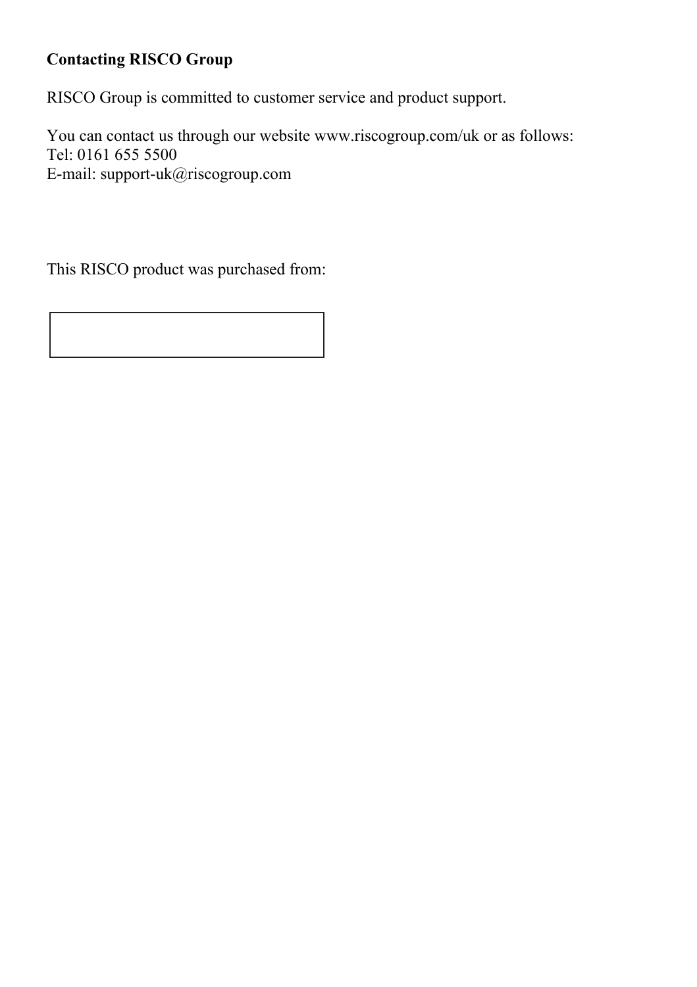#### **Contacting RISCO Group**

RISCO Group is committed to customer service and product support.

You can contact us through our website www.riscogroup.com/uk or as follows: Tel: 0161 655 5500 E-mail: support-uk@riscogroup.com

This RISCO product was purchased from: